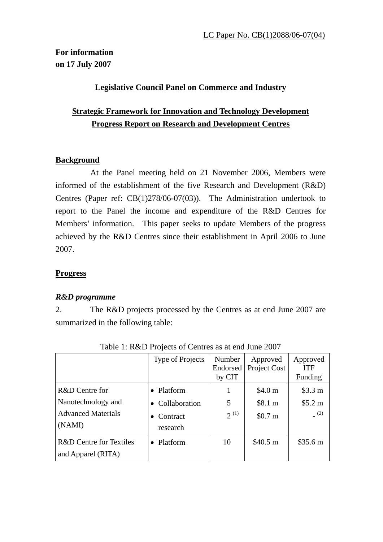# **For information on 17 July 2007**

## **Legislative Council Panel on Commerce and Industry**

# **Strategic Framework for Innovation and Technology Development Progress Report on Research and Development Centres**

## **Background**

 At the Panel meeting held on 21 November 2006, Members were informed of the establishment of the five Research and Development (R&D) Centres (Paper ref: CB(1)278/06-07(03)). The Administration undertook to report to the Panel the income and expenditure of the R&D Centres for Members' information. This paper seeks to update Members of the progress achieved by the R&D Centres since their establishment in April 2006 to June 2007.

## **Progress**

## *R&D programme*

2. The R&D projects processed by the Centres as at end June 2007 are summarized in the following table:

|                                                                             | <b>Type of Projects</b>                               | Number<br>Endorsed<br>by CIT | Approved<br>Project Cost                            | Approved<br><b>ITF</b><br>Funding |
|-----------------------------------------------------------------------------|-------------------------------------------------------|------------------------------|-----------------------------------------------------|-----------------------------------|
| R&D Centre for<br>Nanotechnology and<br><b>Advanced Materials</b><br>(NAMI) | • Platform<br>• Collaboration<br>Contract<br>research | 5<br>$2^{(1)}$               | \$4.0 <sub>m</sub><br>\$8.1 m<br>\$0.7 <sub>m</sub> | \$3.3 m<br>\$5.2 m<br>(2)         |
| R&D Centre for Textiles<br>and Apparel (RITA)                               | Platform                                              | 10                           | \$40.5 m                                            | \$35.6 m                          |

Table 1: R&D Projects of Centres as at end June 2007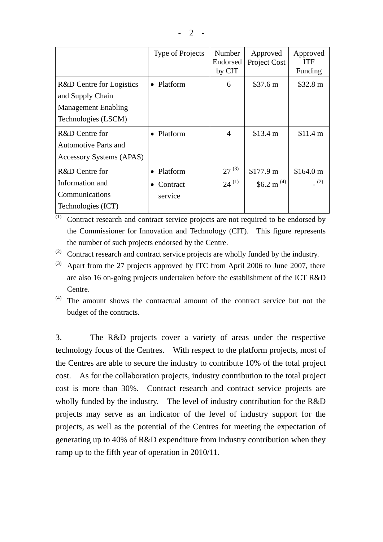|                                                                                                   | <b>Type of Projects</b>         | Number<br>Endorsed<br>by CIT | Approved<br>Project Cost   | Approved<br><b>ITF</b><br>Funding |
|---------------------------------------------------------------------------------------------------|---------------------------------|------------------------------|----------------------------|-----------------------------------|
| R&D Centre for Logistics<br>and Supply Chain<br><b>Management Enabling</b><br>Technologies (LSCM) | • Platform                      | 6                            | \$37.6 m                   | \$32.8 m                          |
| R&D Centre for<br><b>Automotive Parts and</b><br><b>Accessory Systems (APAS)</b>                  | Platform                        | $\overline{4}$               | \$13.4 m                   | \$11.4 m                          |
| R&D Centre for<br>Information and<br>Communications<br>Technologies (ICT)                         | Platform<br>Contract<br>service | $27^{(3)}$<br>$24^{(1)}$     | \$177.9 m<br>\$6.2 m $(4)$ | \$164.0 m<br>(2)                  |

(1) Contract research and contract service projects are not required to be endorsed by the Commissioner for Innovation and Technology (CIT). This figure represents the number of such projects endorsed by the Centre.

- (2) Contract research and contract service projects are wholly funded by the industry.
- $(3)$  Apart from the 27 projects approved by ITC from April 2006 to June 2007, there are also 16 on-going projects undertaken before the establishment of the ICT R&D Centre.

(4) The amount shows the contractual amount of the contract service but not the budget of the contracts.

3. The R&D projects cover a variety of areas under the respective technology focus of the Centres. With respect to the platform projects, most of the Centres are able to secure the industry to contribute 10% of the total project cost. As for the collaboration projects, industry contribution to the total project cost is more than 30%. Contract research and contract service projects are wholly funded by the industry. The level of industry contribution for the R&D projects may serve as an indicator of the level of industry support for the projects, as well as the potential of the Centres for meeting the expectation of generating up to 40% of R&D expenditure from industry contribution when they ramp up to the fifth year of operation in 2010/11.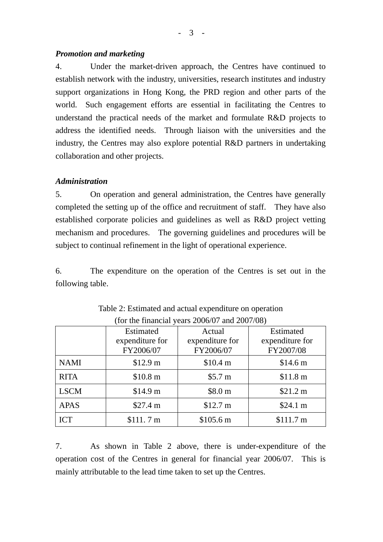$-3 -$ 

#### *Promotion and marketing*

4. Under the market-driven approach, the Centres have continued to establish network with the industry, universities, research institutes and industry support organizations in Hong Kong, the PRD region and other parts of the world. Such engagement efforts are essential in facilitating the Centres to understand the practical needs of the market and formulate R&D projects to address the identified needs. Through liaison with the universities and the industry, the Centres may also explore potential R&D partners in undertaking collaboration and other projects.

## *Administration*

5. On operation and general administration, the Centres have generally completed the setting up of the office and recruitment of staff. They have also established corporate policies and guidelines as well as R&D project vetting mechanism and procedures. The governing guidelines and procedures will be subject to continual refinement in the light of operational experience.

6. The expenditure on the operation of the Centres is set out in the following table.

|             | Estimated       | Actual          | Estimated       |
|-------------|-----------------|-----------------|-----------------|
|             | expenditure for | expenditure for | expenditure for |
|             | FY2006/07       | FY2006/07       | FY2007/08       |
| <b>NAMI</b> | \$12.9 m        | \$10.4 m        | \$14.6 m        |
| <b>RITA</b> | \$10.8 m        | \$5.7 m         | \$11.8 m        |
| <b>LSCM</b> | \$14.9 m        | \$8.0 m         | \$21.2 m        |
| <b>APAS</b> | \$27.4 m        | \$12.7 m        | \$24.1 m        |
| <b>ICT</b>  | \$111.7 m       | \$105.6 m       | \$111.7 m       |

Table 2: Estimated and actual expenditure on operation (for the financial years 2006/07 and 2007/08)

7. As shown in Table 2 above, there is under-expenditure of the operation cost of the Centres in general for financial year 2006/07. This is mainly attributable to the lead time taken to set up the Centres.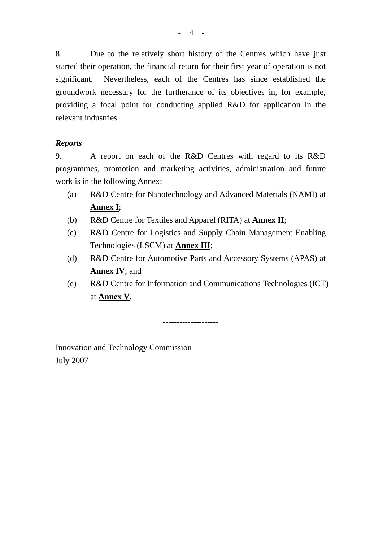8. Due to the relatively short history of the Centres which have just started their operation, the financial return for their first year of operation is not significant. Nevertheless, each of the Centres has since established the groundwork necessary for the furtherance of its objectives in, for example, providing a focal point for conducting applied R&D for application in the relevant industries.

### *Reports*

9. A report on each of the R&D Centres with regard to its R&D programmes, promotion and marketing activities, administration and future work is in the following Annex:

- (a) R&D Centre for Nanotechnology and Advanced Materials (NAMI) at **Annex I**;
- (b) R&D Centre for Textiles and Apparel (RITA) at **Annex II**;
- (c) R&D Centre for Logistics and Supply Chain Management Enabling Technologies (LSCM) at **Annex III**;
- (d) R&D Centre for Automotive Parts and Accessory Systems (APAS) at **Annex IV**; and
- (e) R&D Centre for Information and Communications Technologies (ICT) at **Annex V**.

--------------------

Innovation and Technology Commission July 2007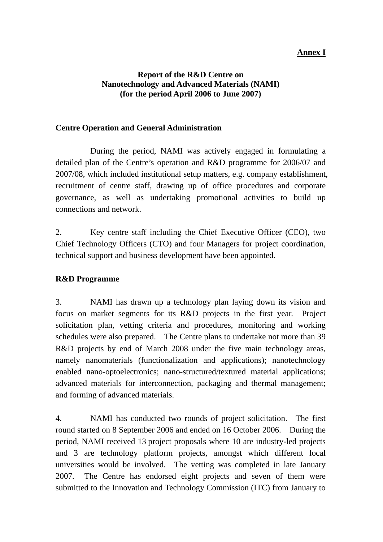### **Annex I**

#### **Report of the R&D Centre on Nanotechnology and Advanced Materials (NAMI) (for the period April 2006 to June 2007)**

#### **Centre Operation and General Administration**

 During the period, NAMI was actively engaged in formulating a detailed plan of the Centre's operation and R&D programme for 2006/07 and 2007/08, which included institutional setup matters, e.g. company establishment, recruitment of centre staff, drawing up of office procedures and corporate governance, as well as undertaking promotional activities to build up connections and network.

2. Key centre staff including the Chief Executive Officer (CEO), two Chief Technology Officers (CTO) and four Managers for project coordination, technical support and business development have been appointed.

#### **R&D Programme**

3. NAMI has drawn up a technology plan laying down its vision and focus on market segments for its R&D projects in the first year. Project solicitation plan, vetting criteria and procedures, monitoring and working schedules were also prepared. The Centre plans to undertake not more than 39 R&D projects by end of March 2008 under the five main technology areas, namely nanomaterials (functionalization and applications); nanotechnology enabled nano-optoelectronics; nano-structured/textured material applications; advanced materials for interconnection, packaging and thermal management; and forming of advanced materials.

4. NAMI has conducted two rounds of project solicitation. The first round started on 8 September 2006 and ended on 16 October 2006. During the period, NAMI received 13 project proposals where 10 are industry-led projects and 3 are technology platform projects, amongst which different local universities would be involved. The vetting was completed in late January 2007. The Centre has endorsed eight projects and seven of them were submitted to the Innovation and Technology Commission (ITC) from January to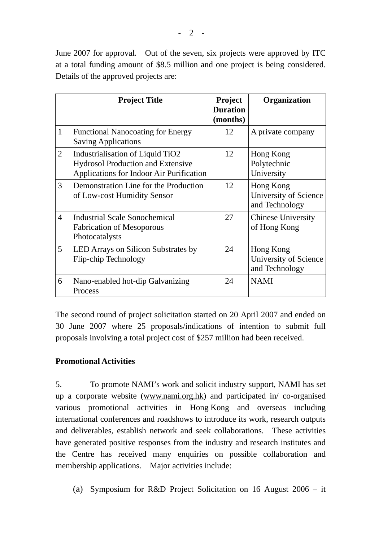|                | <b>Project Title</b>                                                                                                     | <b>Project</b><br><b>Duration</b><br>(months) | Organization                                         |
|----------------|--------------------------------------------------------------------------------------------------------------------------|-----------------------------------------------|------------------------------------------------------|
| $\mathbf{1}$   | <b>Functional Nanocoating for Energy</b><br><b>Saving Applications</b>                                                   | 12                                            | A private company                                    |
| $\overline{2}$ | Industrialisation of Liquid TiO2<br><b>Hydrosol Production and Extensive</b><br>Applications for Indoor Air Purification | 12                                            | Hong Kong<br>Polytechnic<br>University               |
| 3              | Demonstration Line for the Production<br>of Low-cost Humidity Sensor                                                     | 12                                            | Hong Kong<br>University of Science<br>and Technology |
| $\overline{4}$ | <b>Industrial Scale Sonochemical</b><br><b>Fabrication of Mesoporous</b><br>Photocatalysts                               | 27                                            | <b>Chinese University</b><br>of Hong Kong            |
| 5              | LED Arrays on Silicon Substrates by<br>Flip-chip Technology                                                              | 24                                            | Hong Kong<br>University of Science<br>and Technology |
| 6              | Nano-enabled hot-dip Galvanizing<br>Process                                                                              | 24                                            | <b>NAMI</b>                                          |

The second round of project solicitation started on 20 April 2007 and ended on 30 June 2007 where 25 proposals/indications of intention to submit full proposals involving a total project cost of \$257 million had been received.

# **Promotional Activities**

5. To promote NAMI's work and solicit industry support, NAMI has set up a corporate website [\(www.nami.org.hk](http://www.nami.org.hk/)) and participated in/ co-organised various promotional activities in Hong Kong and overseas including international conferences and roadshows to introduce its work, research outputs and deliverables, establish network and seek collaborations. These activities have generated positive responses from the industry and research institutes and the Centre has received many enquiries on possible collaboration and membership applications. Major activities include:

(a) Symposium for R&D Project Solicitation on 16 August 2006 – it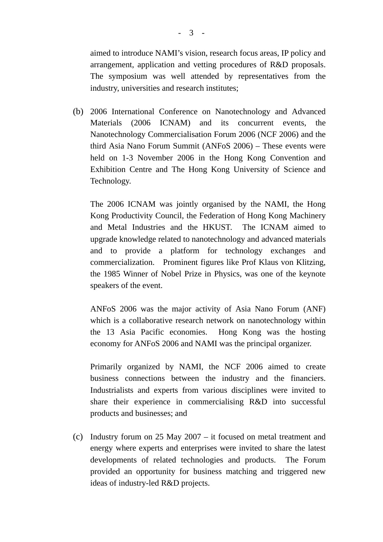aimed to introduce NAMI's vision, research focus areas, IP policy and arrangement, application and vetting procedures of R&D proposals. The symposium was well attended by representatives from the industry, universities and research institutes;

(b) 2006 International Conference on Nanotechnology and Advanced Materials (2006 ICNAM) and its concurrent events, the Nanotechnology Commercialisation Forum 2006 (NCF 2006) and the third Asia Nano Forum Summit (ANFoS 2006) – These events were held on 1-3 November 2006 in the Hong Kong Convention and Exhibition Centre and The Hong Kong University of Science and Technology.

The 2006 ICNAM was jointly organised by the NAMI, the Hong Kong Productivity Council, the Federation of Hong Kong Machinery and Metal Industries and the HKUST. The ICNAM aimed to upgrade knowledge related to nanotechnology and advanced materials and to provide a platform for technology exchanges and commercialization. Prominent figures like Prof Klaus von Klitzing, the 1985 Winner of Nobel Prize in Physics, was one of the keynote speakers of the event.

ANFoS 2006 was the major activity of Asia Nano Forum (ANF) which is a collaborative research network on nanotechnology within the 13 Asia Pacific economies. Hong Kong was the hosting economy for ANFoS 2006 and NAMI was the principal organizer.

Primarily organized by NAMI, the NCF 2006 aimed to create business connections between the industry and the financiers. Industrialists and experts from various disciplines were invited to share their experience in commercialising R&D into successful products and businesses; and

(c) Industry forum on 25 May 2007 – it focused on metal treatment and energy where experts and enterprises were invited to share the latest developments of related technologies and products. The Forum provided an opportunity for business matching and triggered new ideas of industry-led R&D projects.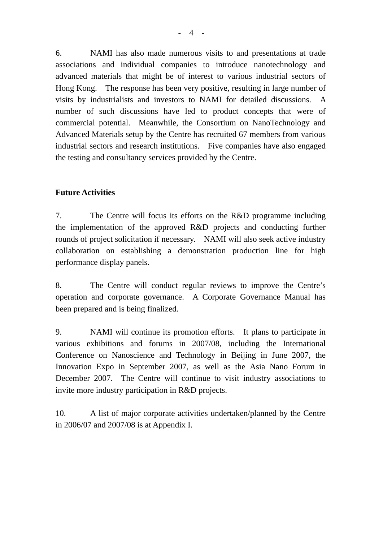6. NAMI has also made numerous visits to and presentations at trade associations and individual companies to introduce nanotechnology and advanced materials that might be of interest to various industrial sectors of Hong Kong. The response has been very positive, resulting in large number of visits by industrialists and investors to NAMI for detailed discussions. A number of such discussions have led to product concepts that were of commercial potential. Meanwhile, the Consortium on NanoTechnology and Advanced Materials setup by the Centre has recruited 67 members from various industrial sectors and research institutions. Five companies have also engaged the testing and consultancy services provided by the Centre.

### **Future Activities**

7. The Centre will focus its efforts on the R&D programme including the implementation of the approved R&D projects and conducting further rounds of project solicitation if necessary. NAMI will also seek active industry collaboration on establishing a demonstration production line for high performance display panels.

8. The Centre will conduct regular reviews to improve the Centre's operation and corporate governance. A Corporate Governance Manual has been prepared and is being finalized.

9. NAMI will continue its promotion efforts. It plans to participate in various exhibitions and forums in 2007/08, including the International Conference on Nanoscience and Technology in Beijing in June 2007, the Innovation Expo in September 2007, as well as the Asia Nano Forum in December 2007. The Centre will continue to visit industry associations to invite more industry participation in R&D projects.

10. A list of major corporate activities undertaken/planned by the Centre in 2006/07 and 2007/08 is at Appendix I.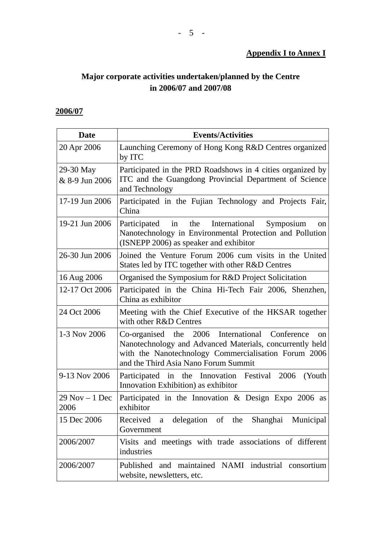### **Appendix I to Annex I**

# **Major corporate activities undertaken/planned by the Centre in 2006/07 and 2007/08**

# **2006/07**

| <b>Date</b>               | <b>Events/Activities</b>                                                                                                                                                                                                  |  |
|---------------------------|---------------------------------------------------------------------------------------------------------------------------------------------------------------------------------------------------------------------------|--|
| 20 Apr 2006               | Launching Ceremony of Hong Kong R&D Centres organized<br>by ITC                                                                                                                                                           |  |
| 29-30 May                 | Participated in the PRD Roadshows in 4 cities organized by                                                                                                                                                                |  |
| & 8-9 Jun 2006            | ITC and the Guangdong Provincial Department of Science<br>and Technology                                                                                                                                                  |  |
| 17-19 Jun 2006            | Participated in the Fujian Technology and Projects Fair,<br>China                                                                                                                                                         |  |
| 19-21 Jun 2006            | Participated in the International<br>Symposium<br>on<br>Nanotechnology in Environmental Protection and Pollution<br>(ISNEPP 2006) as speaker and exhibitor                                                                |  |
| 26-30 Jun 2006            | Joined the Venture Forum 2006 cum visits in the United<br>States led by ITC together with other R&D Centres                                                                                                               |  |
| 16 Aug 2006               | Organised the Symposium for R&D Project Solicitation                                                                                                                                                                      |  |
| 12-17 Oct 2006            | Participated in the China Hi-Tech Fair 2006, Shenzhen,<br>China as exhibitor                                                                                                                                              |  |
| 24 Oct 2006               | Meeting with the Chief Executive of the HKSAR together<br>with other R&D Centres                                                                                                                                          |  |
| 1-3 Nov 2006              | Co-organised the 2006 International Conference<br>$_{\rm on}$<br>Nanotechnology and Advanced Materials, concurrently held<br>with the Nanotechnology Commercialisation Forum 2006<br>and the Third Asia Nano Forum Summit |  |
| 9-13 Nov 2006             | Participated in the Innovation Festival 2006<br>(Youth)<br>Innovation Exhibition) as exhibitor                                                                                                                            |  |
| $29$ Nov $-1$ Dec<br>2006 | Participated in the Innovation $\&$ Design Expo 2006 as<br>exhibitor                                                                                                                                                      |  |
| 15 Dec 2006               | Received a delegation of the Shanghai Municipal<br>Government                                                                                                                                                             |  |
| 2006/2007                 | Visits and meetings with trade associations of different<br>industries                                                                                                                                                    |  |
| 2006/2007                 | Published and maintained NAMI industrial consortium<br>website, newsletters, etc.                                                                                                                                         |  |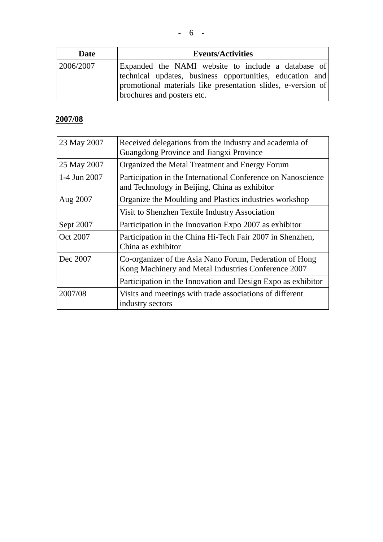| Date      | <b>Events/Activities</b>                                                                                                                                                                                     |  |  |
|-----------|--------------------------------------------------------------------------------------------------------------------------------------------------------------------------------------------------------------|--|--|
| 2006/2007 | Expanded the NAMI website to include a database of<br>technical updates, business opportunities, education and<br>promotional materials like presentation slides, e-version of<br>brochures and posters etc. |  |  |

# **2007/08**

| 23 May 2007  | Received delegations from the industry and academia of<br>Guangdong Province and Jiangxi Province              |  |
|--------------|----------------------------------------------------------------------------------------------------------------|--|
| 25 May 2007  | Organized the Metal Treatment and Energy Forum                                                                 |  |
| 1-4 Jun 2007 | Participation in the International Conference on Nanoscience<br>and Technology in Beijing, China as exhibitor  |  |
| Aug 2007     | Organize the Moulding and Plastics industries workshop                                                         |  |
|              | Visit to Shenzhen Textile Industry Association                                                                 |  |
| Sept 2007    | Participation in the Innovation Expo 2007 as exhibitor                                                         |  |
| Oct 2007     | Participation in the China Hi-Tech Fair 2007 in Shenzhen,<br>China as exhibitor                                |  |
| Dec 2007     | Co-organizer of the Asia Nano Forum, Federation of Hong<br>Kong Machinery and Metal Industries Conference 2007 |  |
|              | Participation in the Innovation and Design Expo as exhibitor                                                   |  |
| 2007/08      | Visits and meetings with trade associations of different<br>industry sectors                                   |  |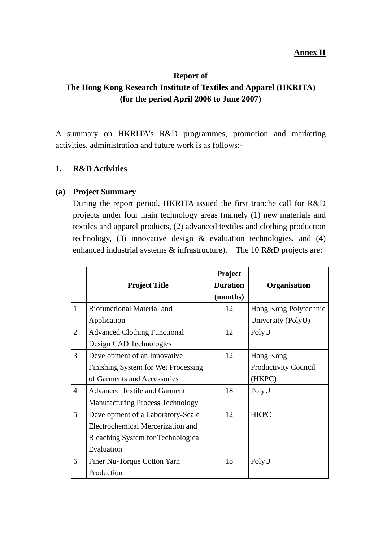#### **Annex II**

#### **Report of**

# **The Hong Kong Research Institute of Textiles and Apparel (HKRITA) (for the period April 2006 to June 2007)**

A summary on HKRITA's R&D programmes, promotion and marketing activities, administration and future work is as follows:-

#### **1. R&D Activities**

#### **(a) Project Summary**

During the report period, HKRITA issued the first tranche call for R&D projects under four main technology areas (namely (1) new materials and textiles and apparel products, (2) advanced textiles and clothing production technology, (3) innovative design & evaluation technologies, and (4) enhanced industrial systems & infrastructure). The 10 R&D projects are:

|                | <b>Project Title</b>                    | Project<br><b>Duration</b> | Organisation          |
|----------------|-----------------------------------------|----------------------------|-----------------------|
|                |                                         | (months)                   |                       |
| $\mathbf{1}$   | <b>Biofunctional Material and</b>       | 12                         | Hong Kong Polytechnic |
|                | Application                             |                            | University (PolyU)    |
| $\overline{2}$ | <b>Advanced Clothing Functional</b>     | 12                         | PolyU                 |
|                | Design CAD Technologies                 |                            |                       |
| 3              | Development of an Innovative            | 12                         | Hong Kong             |
|                | Finishing System for Wet Processing     |                            | Productivity Council  |
|                | of Garments and Accessories             |                            | (HKPC)                |
| $\overline{4}$ | <b>Advanced Textile and Garment</b>     | 18                         | PolyU                 |
|                | <b>Manufacturing Process Technology</b> |                            |                       |
| 5              | Development of a Laboratory-Scale       | 12                         | <b>HKPC</b>           |
|                | Electrochemical Mercerization and       |                            |                       |
|                | Bleaching System for Technological      |                            |                       |
|                | Evaluation                              |                            |                       |
| 6              | Finer Nu-Torque Cotton Yarn             | 18                         | PolyU                 |
|                | Production                              |                            |                       |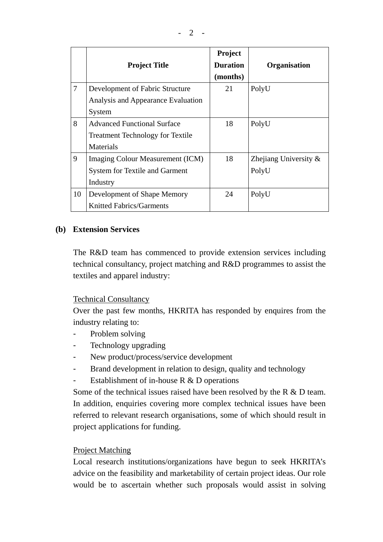|    | <b>Project Title</b>                    | Project<br><b>Duration</b><br>(months) | Organisation             |
|----|-----------------------------------------|----------------------------------------|--------------------------|
| 7  | Development of Fabric Structure         | 21                                     | PolyU                    |
|    | Analysis and Appearance Evaluation      |                                        |                          |
|    | System                                  |                                        |                          |
| 8  | <b>Advanced Functional Surface</b>      | 18                                     | PolyU                    |
|    | <b>Treatment Technology for Textile</b> |                                        |                          |
|    | Materials                               |                                        |                          |
| 9  | Imaging Colour Measurement (ICM)        | 18                                     | Zhejiang University $\&$ |
|    | <b>System for Textile and Garment</b>   |                                        | PolyU                    |
|    | Industry                                |                                        |                          |
| 10 | Development of Shape Memory             | 24                                     | PolyU                    |
|    | <b>Knitted Fabrics/Garments</b>         |                                        |                          |

#### **(b) Extension Services**

The R&D team has commenced to provide extension services including technical consultancy, project matching and R&D programmes to assist the textiles and apparel industry:

#### Technical Consultancy

Over the past few months, HKRITA has responded by enquires from the industry relating to:

- Problem solving
- Technology upgrading
- New product/process/service development
- Brand development in relation to design, quality and technology
- Establishment of in-house R & D operations

Some of the technical issues raised have been resolved by the R & D team. In addition, enquiries covering more complex technical issues have been referred to relevant research organisations, some of which should result in project applications for funding.

#### Project Matching

Local research institutions/organizations have begun to seek HKRITA's advice on the feasibility and marketability of certain project ideas. Our role would be to ascertain whether such proposals would assist in solving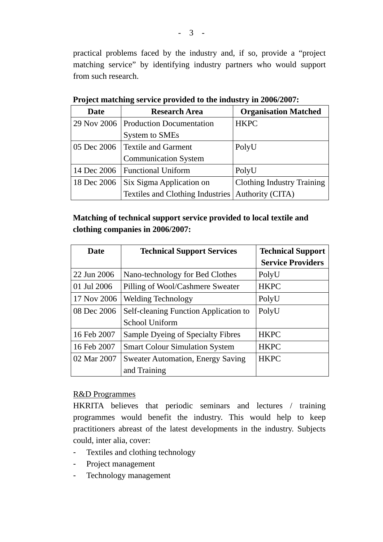practical problems faced by the industry and, if so, provide a "project matching service" by identifying industry partners who would support from such research.

| Date        | <b>Research Area</b>                                | <b>Organisation Matched</b>       |
|-------------|-----------------------------------------------------|-----------------------------------|
|             | 29 Nov 2006   Production Documentation              | <b>HKPC</b>                       |
|             | <b>System to SMEs</b>                               |                                   |
|             | 05 Dec 2006   Textile and Garment                   | PolyU                             |
|             | <b>Communication System</b>                         |                                   |
|             | 14 Dec 2006   Functional Uniform                    | PolyU                             |
| 18 Dec 2006 | <b>Six Sigma Application on</b>                     | <b>Clothing Industry Training</b> |
|             | Textiles and Clothing Industries   Authority (CITA) |                                   |

**Project matching service provided to the industry in 2006/2007:**

# **Matching of technical support service provided to local textile and clothing companies in 2006/2007:**

| Date        | <b>Technical Support Services</b>        | <b>Technical Support</b> |
|-------------|------------------------------------------|--------------------------|
|             |                                          | <b>Service Providers</b> |
| 22 Jun 2006 | Nano-technology for Bed Clothes          | PolyU                    |
| 01 Jul 2006 | Pilling of Wool/Cashmere Sweater         | <b>HKPC</b>              |
| 17 Nov 2006 | <b>Welding Technology</b>                | PolyU                    |
| 08 Dec 2006 | Self-cleaning Function Application to    | PolyU                    |
|             | School Uniform                           |                          |
| 16 Feb 2007 | Sample Dyeing of Specialty Fibres        | <b>HKPC</b>              |
| 16 Feb 2007 | <b>Smart Colour Simulation System</b>    | <b>HKPC</b>              |
| 02 Mar 2007 | <b>Sweater Automation, Energy Saving</b> | <b>HKPC</b>              |
|             | and Training                             |                          |

#### R&D Programmes

HKRITA believes that periodic seminars and lectures / training programmes would benefit the industry. This would help to keep practitioners abreast of the latest developments in the industry. Subjects could, inter alia, cover:

- Textiles and clothing technology
- Project management
- Technology management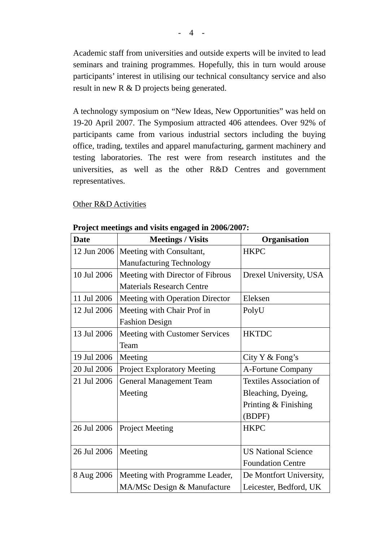Academic staff from universities and outside experts will be invited to lead seminars and training programmes. Hopefully, this in turn would arouse participants' interest in utilising our technical consultancy service and also result in new R & D projects being generated.

A technology symposium on "New Ideas, New Opportunities" was held on 19-20 April 2007. The Symposium attracted 406 attendees. Over 92% of participants came from various industrial sectors including the buying office, trading, textiles and apparel manufacturing, garment machinery and testing laboratories. The rest were from research institutes and the universities, as well as the other R&D Centres and government representatives.

#### Other R&D Activities

| <b>Date</b> | <b>Meetings / Visits</b>           | Organisation                   |
|-------------|------------------------------------|--------------------------------|
| 12 Jun 2006 | Meeting with Consultant,           | <b>HKPC</b>                    |
|             | <b>Manufacturing Technology</b>    |                                |
| 10 Jul 2006 | Meeting with Director of Fibrous   | Drexel University, USA         |
|             | <b>Materials Research Centre</b>   |                                |
| 11 Jul 2006 | Meeting with Operation Director    | Eleksen                        |
| 12 Jul 2006 | Meeting with Chair Prof in         | PolyU                          |
|             | <b>Fashion Design</b>              |                                |
| 13 Jul 2006 | Meeting with Customer Services     | <b>HKTDC</b>                   |
|             | Team                               |                                |
| 19 Jul 2006 | Meeting                            | City Y & Fong's                |
| 20 Jul 2006 | <b>Project Exploratory Meeting</b> | A-Fortune Company              |
| 21 Jul 2006 | <b>General Management Team</b>     | <b>Textiles Association of</b> |
|             | Meeting                            | Bleaching, Dyeing,             |
|             |                                    | Printing & Finishing           |
|             |                                    | (BDPF)                         |
| 26 Jul 2006 | <b>Project Meeting</b>             | <b>HKPC</b>                    |
|             |                                    |                                |
| 26 Jul 2006 | Meeting                            | <b>US National Science</b>     |
|             |                                    | <b>Foundation Centre</b>       |
| 8 Aug 2006  | Meeting with Programme Leader,     | De Montfort University,        |
|             | MA/MSc Design & Manufacture        | Leicester, Bedford, UK         |

#### **Project meetings and visits engaged in 2006/2007:**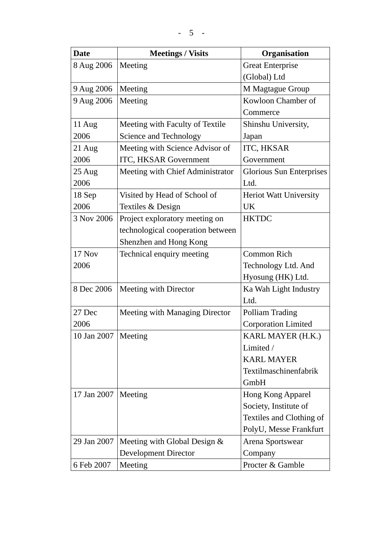| <b>Date</b>           | <b>Meetings / Visits</b>          | Organisation                  |
|-----------------------|-----------------------------------|-------------------------------|
| 8 Aug 2006            | Meeting                           | <b>Great Enterprise</b>       |
|                       |                                   | (Global) Ltd                  |
| 9 Aug 2006            | Meeting                           | M Magtague Group              |
| 9 Aug 2006            | Meeting                           | Kowloon Chamber of            |
|                       |                                   | Commerce                      |
| 11 Aug                | Meeting with Faculty of Textile   | Shinshu University,           |
| 2006                  | Science and Technology            | Japan                         |
| $21$ Aug              | Meeting with Science Advisor of   | ITC, HKSAR                    |
| 2006                  | ITC, HKSAR Government             | Government                    |
| $25 \text{ Aug}$      | Meeting with Chief Administrator  | Glorious Sun Enterprises      |
| 2006                  |                                   | Ltd.                          |
| 18 Sep                | Visited by Head of School of      | <b>Heriot Watt University</b> |
| 2006                  | Textiles & Design                 | UK                            |
| 3 Nov 2006            | Project exploratory meeting on    | <b>HKTDC</b>                  |
|                       | technological cooperation between |                               |
|                       | Shenzhen and Hong Kong            |                               |
| 17 Nov                | Technical enquiry meeting         | Common Rich                   |
| 2006                  |                                   | Technology Ltd. And           |
|                       |                                   | Hyosung (HK) Ltd.             |
| 8 Dec 2006            | Meeting with Director             | Ka Wah Light Industry         |
|                       |                                   | Ltd.                          |
| 27 Dec                | Meeting with Managing Director    | Polliam Trading               |
| 2006                  |                                   | <b>Corporation Limited</b>    |
| 10 Jan 2007   Meeting |                                   | KARL MAYER (H.K.)             |
|                       |                                   | Limited /                     |
|                       |                                   | <b>KARL MAYER</b>             |
|                       |                                   | Textilmaschinenfabrik         |
|                       |                                   | GmbH                          |
| 17 Jan 2007           | Meeting                           | Hong Kong Apparel             |
|                       |                                   | Society, Institute of         |
|                       |                                   | Textiles and Clothing of      |
|                       |                                   | PolyU, Messe Frankfurt        |
| 29 Jan 2007           | Meeting with Global Design &      | Arena Sportswear              |
|                       | <b>Development Director</b>       | Company                       |
| 6 Feb 2007            | Meeting                           | Procter & Gamble              |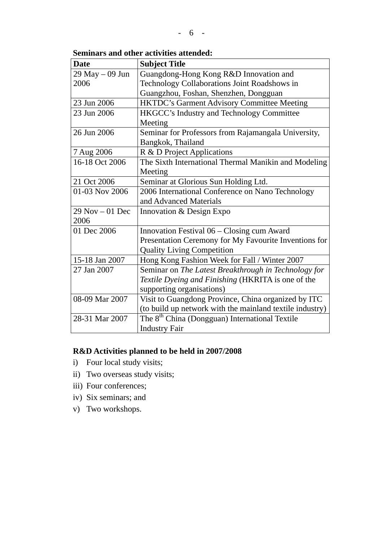#### **Seminars and other activities attended:**

| <b>Date</b>        | <b>Subject Title</b>                                       |  |
|--------------------|------------------------------------------------------------|--|
| 29 May - 09 Jun    | Guangdong-Hong Kong R&D Innovation and                     |  |
| 2006               | Technology Collaborations Joint Roadshows in               |  |
|                    | Guangzhou, Foshan, Shenzhen, Dongguan                      |  |
| 23 Jun 2006        | <b>HKTDC's Garment Advisory Committee Meeting</b>          |  |
| 23 Jun 2006        | HKGCC's Industry and Technology Committee                  |  |
|                    | Meeting                                                    |  |
| 26 Jun 2006        | Seminar for Professors from Rajamangala University,        |  |
|                    | Bangkok, Thailand                                          |  |
| 7 Aug 2006         | R & D Project Applications                                 |  |
| 16-18 Oct 2006     | The Sixth International Thermal Manikin and Modeling       |  |
|                    | Meeting                                                    |  |
| 21 Oct 2006        | Seminar at Glorious Sun Holding Ltd.                       |  |
| 01-03 Nov 2006     | 2006 International Conference on Nano Technology           |  |
|                    | and Advanced Materials                                     |  |
| $29$ Nov $-01$ Dec | Innovation & Design Expo                                   |  |
| 2006               |                                                            |  |
| 01 Dec 2006        | Innovation Festival 06 – Closing cum Award                 |  |
|                    | Presentation Ceremony for My Favourite Inventions for      |  |
|                    | <b>Quality Living Competition</b>                          |  |
| 15-18 Jan 2007     | Hong Kong Fashion Week for Fall / Winter 2007              |  |
| 27 Jan 2007        | Seminar on The Latest Breakthrough in Technology for       |  |
|                    | Textile Dyeing and Finishing (HKRITA is one of the         |  |
|                    | supporting organisations)                                  |  |
| 08-09 Mar 2007     | Visit to Guangdong Province, China organized by ITC        |  |
|                    | (to build up network with the mainland textile industry)   |  |
| 28-31 Mar 2007     | The 8 <sup>th</sup> China (Dongguan) International Textile |  |
|                    | <b>Industry Fair</b>                                       |  |

# **R&D Activities planned to be held in 2007/2008**

- i) Four local study visits;
- ii) Two overseas study visits;
- iii) Four conferences;
- iv) Six seminars; and
- v) Two workshops.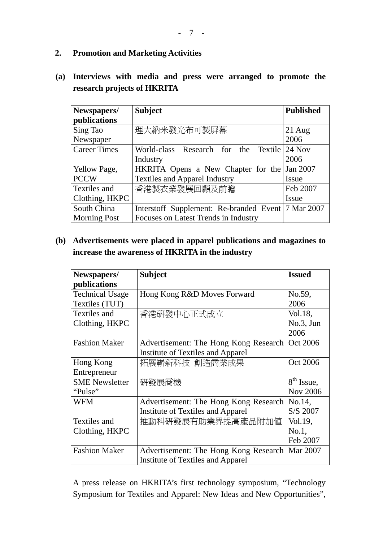#### **2. Promotion and Marketing Activities**

# **(a) Interviews with media and press were arranged to promote the research projects of HKRITA**

| Newspapers/         | <b>Subject</b>                                       | <b>Published</b> |
|---------------------|------------------------------------------------------|------------------|
| publications        |                                                      |                  |
| Sing Tao            | 理大納米發光布可製屏幕                                          | $21$ Aug         |
| Newspaper           |                                                      | 2006             |
| <b>Career Times</b> | Textile 24 Nov<br>World-class Research for the       |                  |
|                     | Industry                                             | 2006             |
| <b>Yellow Page,</b> | HKRITA Opens a New Chapter for the                   | Jan 2007         |
| <b>PCCW</b>         | <b>Textiles and Apparel Industry</b>                 | Issue            |
| Textiles and        | 香港製衣業發展回顧及前瞻                                         | Feb 2007         |
| Clothing, HKPC      |                                                      | Issue            |
| South China         | Interstoff Supplement: Re-branded Event   7 Mar 2007 |                  |
| <b>Morning Post</b> | Focuses on Latest Trends in Industry                 |                  |

## **(b) Advertisements were placed in apparel publications and magazines to increase the awareness of HKRITA in the industry**

| Newspapers/            | <b>Subject</b>                           | <b>Issued</b>   |
|------------------------|------------------------------------------|-----------------|
| publications           |                                          |                 |
| <b>Technical Usage</b> | Hong Kong R&D Moves Forward              | No.59,          |
| Textiles (TUT)         |                                          | 2006            |
| Textiles and           | 香港研發中心正式成立                               | Vol.18,         |
| Clothing, HKPC         |                                          | No.3, Jun       |
|                        |                                          | 2006            |
| <b>Fashion Maker</b>   | Advertisement: The Hong Kong Research    | Oct 2006        |
|                        | <b>Institute of Textiles and Apparel</b> |                 |
| Hong Kong              | 拓展嶄新科技 創造商業成果                            | Oct 2006        |
| Entrepreneur           |                                          |                 |
| <b>SME</b> Newsletter  | 硏發展商機                                    | $8th$ Issue,    |
| "Pulse"                |                                          | <b>Nov 2006</b> |
| WFM                    | Advertisement: The Hong Kong Research    | No.14,          |
|                        | Institute of Textiles and Apparel        | S/S 2007        |
| Textiles and           | 推動科研發展有助業界提高產品附加値                        | Vol.19,         |
| Clothing, HKPC         |                                          | No.1,           |
|                        |                                          | Feb 2007        |
| <b>Fashion Maker</b>   | Advertisement: The Hong Kong Research    | Mar 2007        |
|                        | <b>Institute of Textiles and Apparel</b> |                 |

A press release on HKRITA's first technology symposium, "Technology Symposium for Textiles and Apparel: New Ideas and New Opportunities",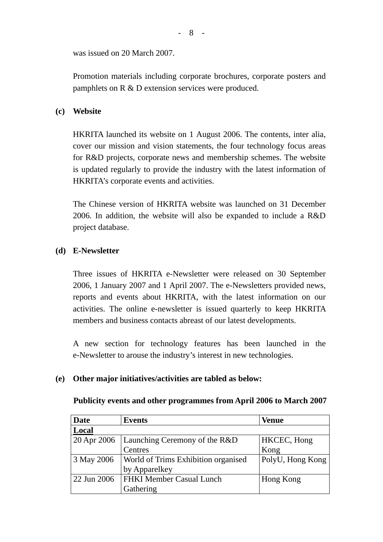was issued on 20 March 2007.

Promotion materials including corporate brochures, corporate posters and pamphlets on R & D extension services were produced.

### **(c) Website**

HKRITA launched its website on 1 August 2006. The contents, inter alia, cover our mission and vision statements, the four technology focus areas for R&D projects, corporate news and membership schemes. The website is updated regularly to provide the industry with the latest information of HKRITA's corporate events and activities.

The Chinese version of HKRITA website was launched on 31 December 2006. In addition, the website will also be expanded to include a R&D project database.

#### **(d) E-Newsletter**

Three issues of HKRITA e-Newsletter were released on 30 September 2006, 1 January 2007 and 1 April 2007. The e-Newsletters provided news, reports and events about HKRITA, with the latest information on our activities. The online e-newsletter is issued quarterly to keep HKRITA members and business contacts abreast of our latest developments.

A new section for technology features has been launched in the e-Newsletter to arouse the industry's interest in new technologies.

#### **(e) Other major initiatives/activities are tabled as below:**

| <b>Date</b> | <b>Events</b>                              | <b>Venue</b>     |
|-------------|--------------------------------------------|------------------|
| Local       |                                            |                  |
| 20 Apr 2006 | Launching Ceremony of the R&D              | HKCEC, Hong      |
|             | Centres                                    | Kong             |
| 3 May 2006  | <b>World of Trims Exhibition organised</b> | PolyU, Hong Kong |
|             | by Apparelkey                              |                  |
| 22 Jun 2006 | <b>FHKI Member Casual Lunch</b>            | Hong Kong        |
|             | Gathering                                  |                  |

#### **Publicity events and other programmes from April 2006 to March 2007**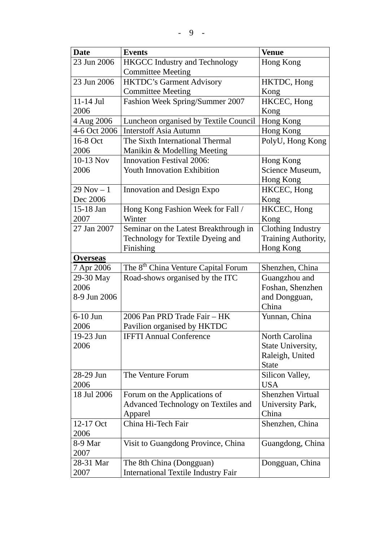| <b>Date</b>     | <b>Events</b>                                   | <b>Venue</b>             |
|-----------------|-------------------------------------------------|--------------------------|
| 23 Jun 2006     | <b>HKGCC Industry and Technology</b>            | Hong Kong                |
|                 | <b>Committee Meeting</b>                        |                          |
| 23 Jun 2006     | <b>HKTDC's Garment Advisory</b>                 | HKTDC, Hong              |
|                 | <b>Committee Meeting</b>                        | Kong                     |
| 11-14 Jul       | Fashion Week Spring/Summer 2007                 | HKCEC, Hong              |
| 2006            |                                                 | Kong                     |
| 4 Aug 2006      | Luncheon organised by Textile Council           | Hong Kong                |
| 4-6 Oct 2006    | <b>Interstoff Asia Autumn</b>                   | Hong Kong                |
| 16-8 Oct        | The Sixth International Thermal                 | PolyU, Hong Kong         |
| 2006            | Manikin & Modelling Meeting                     |                          |
| 10-13 Nov       | <b>Innovation Festival 2006:</b>                | Hong Kong                |
| 2006            | <b>Youth Innovation Exhibition</b>              | Science Museum,          |
|                 |                                                 | Hong Kong                |
| $29$ Nov $-1$   | <b>Innovation and Design Expo</b>               | HKCEC, Hong              |
| Dec 2006        |                                                 | Kong                     |
| 15-18 Jan       | Hong Kong Fashion Week for Fall /               | HKCEC, Hong              |
| 2007            | Winter                                          | Kong                     |
| 27 Jan 2007     | Seminar on the Latest Breakthrough in           | <b>Clothing Industry</b> |
|                 | Technology for Textile Dyeing and               | Training Authority,      |
|                 | Finishing                                       | Hong Kong                |
| <b>Overseas</b> |                                                 |                          |
| 7 Apr 2006      | The 8 <sup>th</sup> China Venture Capital Forum | Shenzhen, China          |
| 29-30 May       | Road-shows organised by the ITC                 | Guangzhou and            |
| 2006            |                                                 | Foshan, Shenzhen         |
| 8-9 Jun 2006    |                                                 | and Dongguan,            |
|                 |                                                 | China                    |
| $6-10$ Jun      | 2006 Pan PRD Trade Fair - HK                    | Yunnan, China            |
| 2006            | Pavilion organised by HKTDC                     |                          |
| 19-23 Jun       | <b>IFFTI Annual Conference</b>                  | North Carolina           |
| 2006            |                                                 | State University,        |
|                 |                                                 | Raleigh, United          |
|                 |                                                 | <b>State</b>             |
| 28-29 Jun       | The Venture Forum                               | Silicon Valley,          |
| 2006            |                                                 | <b>USA</b>               |
| 18 Jul 2006     | Forum on the Applications of                    | <b>Shenzhen Virtual</b>  |
|                 | Advanced Technology on Textiles and             | University Park,         |
|                 | Apparel                                         | China                    |
| 12-17 Oct       | China Hi-Tech Fair                              | Shenzhen, China          |
| 2006            |                                                 |                          |
| 8-9 Mar         | Visit to Guangdong Province, China              | Guangdong, China         |
| 2007            |                                                 |                          |
| 28-31 Mar       | The 8th China (Dongguan)                        | Dongguan, China          |
| 2007            | <b>International Textile Industry Fair</b>      |                          |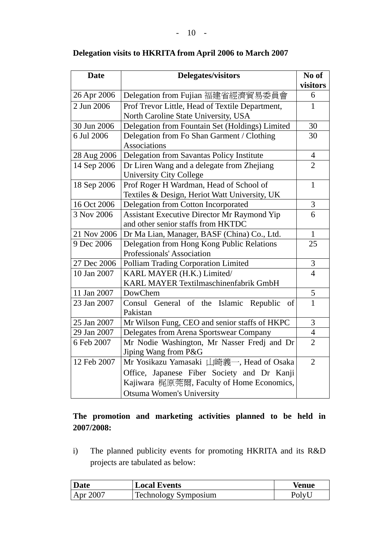| <b>Date</b> | <b>Delegates/visitors</b>                          |                |  |
|-------------|----------------------------------------------------|----------------|--|
|             |                                                    | visitors       |  |
| 26 Apr 2006 | Delegation from Fujian 福建省經濟貿易委員會                  | 6              |  |
| 2 Jun 2006  | Prof Trevor Little, Head of Textile Department,    | $\mathbf{1}$   |  |
|             | North Caroline State University, USA               |                |  |
| 30 Jun 2006 | Delegation from Fountain Set (Holdings) Limited    | 30             |  |
| 6 Jul 2006  | Delegation from Fo Shan Garment / Clothing         | 30             |  |
|             | <b>Associations</b>                                |                |  |
| 28 Aug 2006 | Delegation from Savantas Policy Institute          | $\overline{4}$ |  |
| 14 Sep 2006 | Dr Liren Wang and a delegate from Zhejiang         | $\overline{2}$ |  |
|             | <b>University City College</b>                     |                |  |
| 18 Sep 2006 | Prof Roger H Wardman, Head of School of            | $\mathbf{1}$   |  |
|             | Textiles & Design, Heriot Watt University, UK      |                |  |
| 16 Oct 2006 | Delegation from Cotton Incorporated                | $\mathfrak{Z}$ |  |
| 3 Nov 2006  | 6<br>Assistant Executive Director Mr Raymond Yip   |                |  |
|             | and other senior staffs from HKTDC                 |                |  |
| 21 Nov 2006 | Dr Ma Lian, Manager, BASF (China) Co., Ltd.        |                |  |
| 9 Dec 2006  | 25<br>Delegation from Hong Kong Public Relations   |                |  |
|             | Professionals' Association                         |                |  |
| 27 Dec 2006 | Polliam Trading Corporation Limited                | 3              |  |
| 10 Jan 2007 | KARL MAYER (H.K.) Limited/<br>$\overline{4}$       |                |  |
|             | KARL MAYER Textilmaschinenfabrik GmbH              |                |  |
| 11 Jan 2007 | DowChem                                            | $\frac{5}{1}$  |  |
| 23 Jan 2007 | General of the Islamic<br>Consul<br>Republic<br>of |                |  |
|             | Pakistan                                           |                |  |
| 25 Jan 2007 | Mr Wilson Fung, CEO and senior staffs of HKPC      | 3              |  |
| 29 Jan 2007 | Delegates from Arena Sportswear Company            | $\overline{4}$ |  |
| 6 Feb 2007  | Mr Nodie Washington, Mr Nasser Fredj and Dr        | $\overline{2}$ |  |
|             | Jiping Wang from P&G                               |                |  |
| 12 Feb 2007 | Mr Yosikazu Yamasaki 山崎義一, Head of Osaka           | $\overline{2}$ |  |
|             | Office, Japanese Fiber Society and Dr Kanji        |                |  |
|             | Kajiwara 梶原莞爾, Faculty of Home Economics,          |                |  |
|             | <b>Otsuma Women's University</b>                   |                |  |

## **Delegation visits to HKRITA from April 2006 to March 2007**

# **The promotion and marketing activities planned to be held in 2007/2008:**

i) The planned publicity events for promoting HKRITA and its R&D projects are tabulated as below:

| Date     | <b>Local Events</b>         | Venue |
|----------|-----------------------------|-------|
| Apr 2007 | <b>Technology Symposium</b> | Polyl |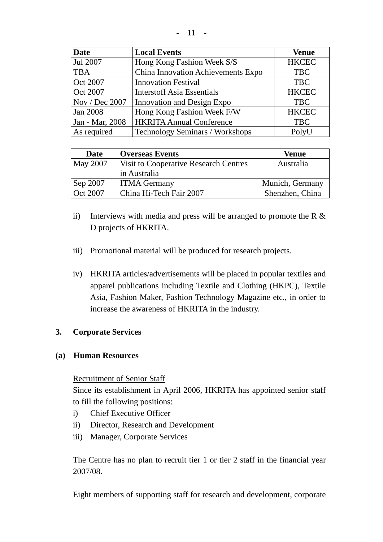|--|--|--|

| <b>Date</b>     | <b>Local Events</b>                | <b>Venue</b> |
|-----------------|------------------------------------|--------------|
| Jul 2007        | Hong Kong Fashion Week S/S         | <b>HKCEC</b> |
| <b>TBA</b>      | China Innovation Achievements Expo | <b>TBC</b>   |
| <b>Oct 2007</b> | <b>Innovation Festival</b>         | <b>TBC</b>   |
| Oct 2007        | <b>Interstoff Asia Essentials</b>  | <b>HKCEC</b> |
| Nov / Dec 2007  | Innovation and Design Expo         | <b>TBC</b>   |
| <b>Jan 2008</b> | Hong Kong Fashion Week F/W         | <b>HKCEC</b> |
| Jan - Mar, 2008 | <b>HKRITA Annual Conference</b>    | <b>TBC</b>   |
| As required     | Technology Seminars / Workshops    | PolyU        |

| Date     | <b>Overseas Events</b>                       | <b>Venue</b>    |
|----------|----------------------------------------------|-----------------|
| May 2007 | <b>Visit to Cooperative Research Centres</b> | Australia       |
|          | in Australia                                 |                 |
| Sep 2007 | <b>ITMA Germany</b>                          | Munich, Germany |
| Oct 2007 | China Hi-Tech Fair 2007                      | Shenzhen, China |

- ii) Interviews with media and press will be arranged to promote the R  $\&$ D projects of HKRITA.
- iii) Promotional material will be produced for research projects.
- iv) HKRITA articles/advertisements will be placed in popular textiles and apparel publications including Textile and Clothing (HKPC), Textile Asia, Fashion Maker, Fashion Technology Magazine etc., in order to increase the awareness of HKRITA in the industry.

## **3. Corporate Services**

#### **(a) Human Resources**

#### Recruitment of Senior Staff

Since its establishment in April 2006, HKRITA has appointed senior staff to fill the following positions:

- i) Chief Executive Officer
- ii) Director, Research and Development
- iii) Manager, Corporate Services

The Centre has no plan to recruit tier 1 or tier 2 staff in the financial year 2007/08.

Eight members of supporting staff for research and development, corporate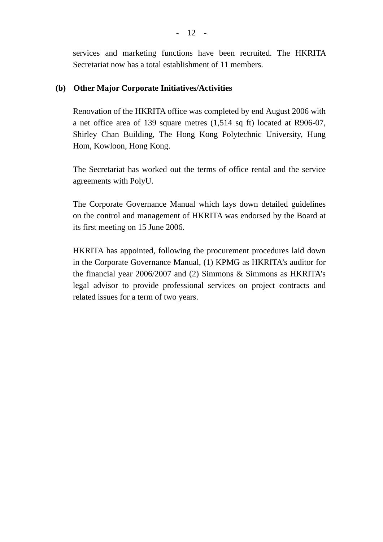services and marketing functions have been recruited. The HKRITA Secretariat now has a total establishment of 11 members.

### **(b) Other Major Corporate Initiatives/Activities**

 Renovation of the HKRITA office was completed by end August 2006 with a net office area of 139 square metres (1,514 sq ft) located at R906-07, Shirley Chan Building, The Hong Kong Polytechnic University, Hung Hom, Kowloon, Hong Kong.

The Secretariat has worked out the terms of office rental and the service agreements with PolyU.

The Corporate Governance Manual which lays down detailed guidelines on the control and management of HKRITA was endorsed by the Board at its first meeting on 15 June 2006.

HKRITA has appointed, following the procurement procedures laid down in the Corporate Governance Manual, (1) KPMG as HKRITA's auditor for the financial year 2006/2007 and (2) Simmons & Simmons as HKRITA's legal advisor to provide professional services on project contracts and related issues for a term of two years.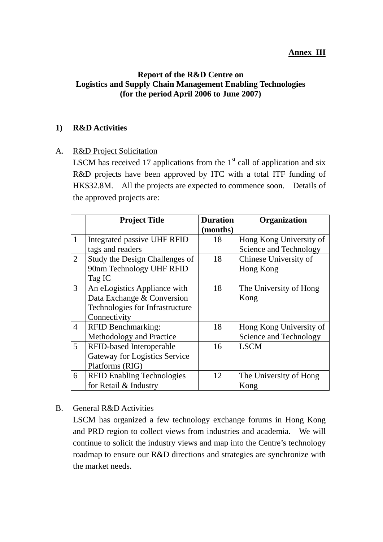#### **Annex III**

### **Report of the R&D Centre on Logistics and Supply Chain Management Enabling Technologies (for the period April 2006 to June 2007)**

### **1) R&D Activities**

### A. R&D Project Solicitation

LSCM has received 17 applications from the  $1<sup>st</sup>$  call of application and six R&D projects have been approved by ITC with a total ITF funding of HK\$32.8M. All the projects are expected to commence soon. Details of the approved projects are:

|                | <b>Project Title</b>                 | <b>Duration</b> | Organization            |
|----------------|--------------------------------------|-----------------|-------------------------|
|                |                                      | (months)        |                         |
| $\mathbf{1}$   | Integrated passive UHF RFID          | 18              | Hong Kong University of |
|                | tags and readers                     |                 | Science and Technology  |
| $\overline{2}$ | Study the Design Challenges of       | 18              | Chinese University of   |
|                | 90nm Technology UHF RFID             |                 | Hong Kong               |
|                | Tag IC                               |                 |                         |
| $\overline{3}$ | An eLogistics Appliance with         | 18              | The University of Hong  |
|                | Data Exchange & Conversion           |                 | Kong                    |
|                | Technologies for Infrastructure      |                 |                         |
|                | Connectivity                         |                 |                         |
| $\overline{4}$ | <b>RFID Benchmarking:</b>            | 18              | Hong Kong University of |
|                | Methodology and Practice             |                 | Science and Technology  |
| 5              | RFID-based Interoperable             | 16              | <b>LSCM</b>             |
|                | <b>Gateway for Logistics Service</b> |                 |                         |
|                | Platforms (RIG)                      |                 |                         |
| 6              | <b>RFID Enabling Technologies</b>    | 12              | The University of Hong  |
|                | for Retail & Industry                |                 | Kong                    |

#### B. General R&D Activities

LSCM has organized a few technology exchange forums in Hong Kong and PRD region to collect views from industries and academia. We will continue to solicit the industry views and map into the Centre's technology roadmap to ensure our R&D directions and strategies are synchronize with the market needs.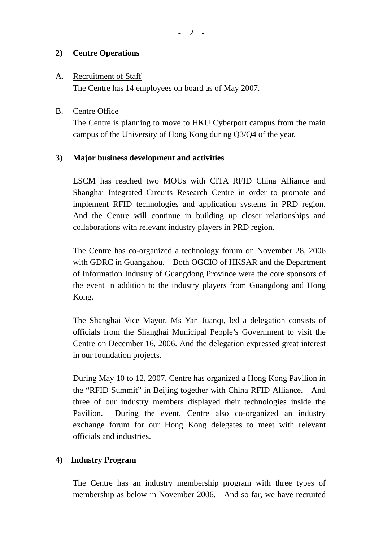### **2) Centre Operations**

#### A. Recruitment of Staff

The Centre has 14 employees on board as of May 2007.

### B. Centre Office

The Centre is planning to move to HKU Cyberport campus from the main campus of the University of Hong Kong during Q3/Q4 of the year.

### **3) Major business development and activities**

LSCM has reached two MOUs with CITA RFID China Alliance and Shanghai Integrated Circuits Research Centre in order to promote and implement RFID technologies and application systems in PRD region. And the Centre will continue in building up closer relationships and collaborations with relevant industry players in PRD region.

The Centre has co-organized a technology forum on November 28, 2006 with GDRC in Guangzhou. Both OGCIO of HKSAR and the Department of Information Industry of Guangdong Province were the core sponsors of the event in addition to the industry players from Guangdong and Hong Kong.

The Shanghai Vice Mayor, Ms Yan Juanqi, led a delegation consists of officials from the Shanghai Municipal People's Government to visit the Centre on December 16, 2006. And the delegation expressed great interest in our foundation projects.

During May 10 to 12, 2007, Centre has organized a Hong Kong Pavilion in the "RFID Summit" in Beijing together with China RFID Alliance. And three of our industry members displayed their technologies inside the Pavilion. During the event, Centre also co-organized an industry exchange forum for our Hong Kong delegates to meet with relevant officials and industries.

## **4) Industry Program**

The Centre has an industry membership program with three types of membership as below in November 2006. And so far, we have recruited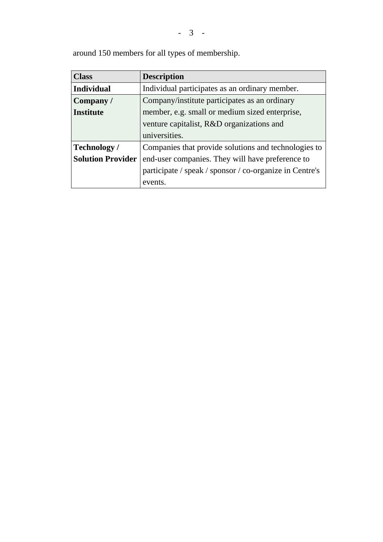- 3 -

| <b>Class</b>             | <b>Description</b>                                      |  |
|--------------------------|---------------------------------------------------------|--|
| <b>Individual</b>        | Individual participates as an ordinary member.          |  |
| Company/                 | Company/institute participates as an ordinary           |  |
| <b>Institute</b>         | member, e.g. small or medium sized enterprise,          |  |
|                          | venture capitalist, R&D organizations and               |  |
|                          | universities.                                           |  |
| <b>Technology</b> /      | Companies that provide solutions and technologies to    |  |
| <b>Solution Provider</b> | end-user companies. They will have preference to        |  |
|                          | participate / speak / sponsor / co-organize in Centre's |  |
|                          | events.                                                 |  |

around 150 members for all types of membership.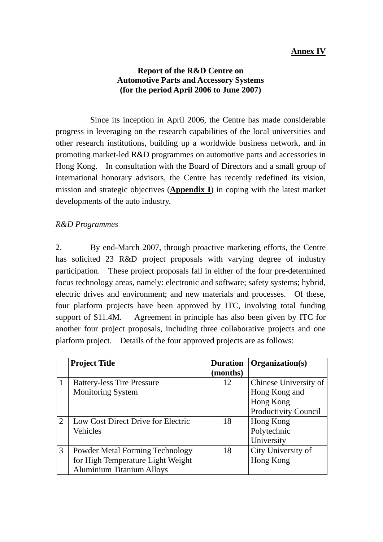### **Report of the R&D Centre on Automotive Parts and Accessory Systems (for the period April 2006 to June 2007)**

 Since its inception in April 2006, the Centre has made considerable progress in leveraging on the research capabilities of the local universities and other research institutions, building up a worldwide business network, and in promoting market-led R&D programmes on automotive parts and accessories in Hong Kong. In consultation with the Board of Directors and a small group of international honorary advisors, the Centre has recently redefined its vision, mission and strategic objectives (**Appendix I**) in coping with the latest market developments of the auto industry.

#### *R&D Programmes*

2. By end-March 2007, through proactive marketing efforts, the Centre has solicited 23 R&D project proposals with varying degree of industry participation. These project proposals fall in either of the four pre-determined focus technology areas, namely: electronic and software; safety systems; hybrid, electric drives and environment; and new materials and processes. Of these, four platform projects have been approved by ITC, involving total funding support of \$11.4M. Agreement in principle has also been given by ITC for another four project proposals, including three collaborative projects and one platform project. Details of the four approved projects are as follows:

|               | <b>Project Title</b>                   | <b>Duration</b> | Organization(s)             |
|---------------|----------------------------------------|-----------------|-----------------------------|
|               |                                        | (months)        |                             |
|               | <b>Battery-less Tire Pressure</b>      | 12              | Chinese University of       |
|               | <b>Monitoring System</b>               |                 | Hong Kong and               |
|               |                                        |                 | Hong Kong                   |
|               |                                        |                 | <b>Productivity Council</b> |
| $\mathcal{D}$ | Low Cost Direct Drive for Electric     | 18              | Hong Kong                   |
|               | Vehicles                               |                 | Polytechnic                 |
|               |                                        |                 | University                  |
| 3             | <b>Powder Metal Forming Technology</b> | 18              | City University of          |
|               | for High Temperature Light Weight      |                 | Hong Kong                   |
|               | <b>Aluminium Titanium Alloys</b>       |                 |                             |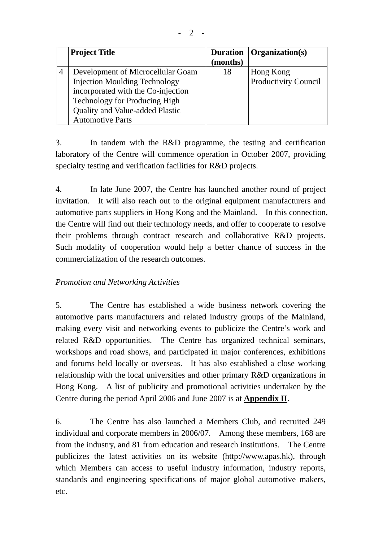| <b>Project Title</b>                   | <b>Duration</b><br>(months) | Organization(s)             |
|----------------------------------------|-----------------------------|-----------------------------|
| Development of Microcellular Goam      | 18                          | Hong Kong                   |
| <b>Injection Moulding Technology</b>   |                             | <b>Productivity Council</b> |
| incorporated with the Co-injection     |                             |                             |
| Technology for Producing High          |                             |                             |
| <b>Quality and Value-added Plastic</b> |                             |                             |
| <b>Automotive Parts</b>                |                             |                             |

3. In tandem with the R&D programme, the testing and certification laboratory of the Centre will commence operation in October 2007, providing specialty testing and verification facilities for R&D projects.

4. In late June 2007, the Centre has launched another round of project invitation. It will also reach out to the original equipment manufacturers and automotive parts suppliers in Hong Kong and the Mainland. In this connection, the Centre will find out their technology needs, and offer to cooperate to resolve their problems through contract research and collaborative R&D projects. Such modality of cooperation would help a better chance of success in the commercialization of the research outcomes.

## *Promotion and Networking Activities*

5. The Centre has established a wide business network covering the automotive parts manufacturers and related industry groups of the Mainland, making every visit and networking events to publicize the Centre's work and related R&D opportunities. The Centre has organized technical seminars, workshops and road shows, and participated in major conferences, exhibitions and forums held locally or overseas. It has also established a close working relationship with the local universities and other primary R&D organizations in Hong Kong. A list of publicity and promotional activities undertaken by the Centre during the period April 2006 and June 2007 is at **Appendix II**.

6. The Centre has also launched a Members Club, and recruited 249 individual and corporate members in 2006/07. Among these members, 168 are from the industry, and 81 from education and research institutions. The Centre publicizes the latest activities on its website [\(http://www.apas.hk](http://www.apas.hk/)), through which Members can access to useful industry information, industry reports, standards and engineering specifications of major global automotive makers, etc.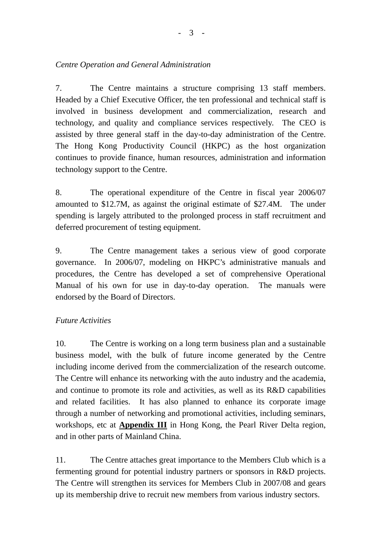7. The Centre maintains a structure comprising 13 staff members. Headed by a Chief Executive Officer, the ten professional and technical staff is involved in business development and commercialization, research and technology, and quality and compliance services respectively. The CEO is assisted by three general staff in the day-to-day administration of the Centre. The Hong Kong Productivity Council (HKPC) as the host organization continues to provide finance, human resources, administration and information technology support to the Centre.

8. The operational expenditure of the Centre in fiscal year 2006/07 amounted to \$12.7M, as against the original estimate of \$27.4M. The under spending is largely attributed to the prolonged process in staff recruitment and deferred procurement of testing equipment.

9. The Centre management takes a serious view of good corporate governance. In 2006/07, modeling on HKPC's administrative manuals and procedures, the Centre has developed a set of comprehensive Operational Manual of his own for use in day-to-day operation. The manuals were endorsed by the Board of Directors.

# *Future Activities*

10. The Centre is working on a long term business plan and a sustainable business model, with the bulk of future income generated by the Centre including income derived from the commercialization of the research outcome. The Centre will enhance its networking with the auto industry and the academia, and continue to promote its role and activities, as well as its R&D capabilities and related facilities. It has also planned to enhance its corporate image through a number of networking and promotional activities, including seminars, workshops, etc at **Appendix III** in Hong Kong, the Pearl River Delta region, and in other parts of Mainland China.

11. The Centre attaches great importance to the Members Club which is a fermenting ground for potential industry partners or sponsors in R&D projects. The Centre will strengthen its services for Members Club in 2007/08 and gears up its membership drive to recruit new members from various industry sectors.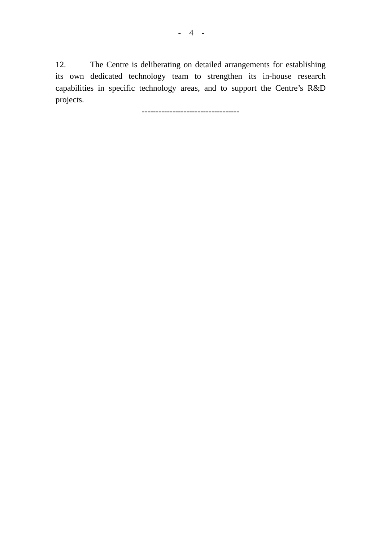12. The Centre is deliberating on detailed arrangements for establishing its own dedicated technology team to strengthen its in-house research capabilities in specific technology areas, and to support the Centre's R&D projects.

-----------------------------------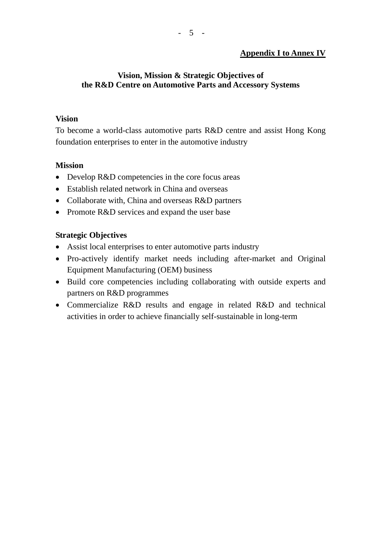## **Vision, Mission & Strategic Objectives of the R&D Centre on Automotive Parts and Accessory Systems**

## **Vision**

To become a world-class automotive parts R&D centre and assist Hong Kong foundation enterprises to enter in the automotive industry

# **Mission**

- Develop R&D competencies in the core focus areas
- Establish related network in China and overseas
- Collaborate with, China and overseas R&D partners
- Promote R&D services and expand the user base

# **Strategic Objectives**

- Assist local enterprises to enter automotive parts industry
- Pro-actively identify market needs including after-market and Original Equipment Manufacturing (OEM) business
- Build core competencies including collaborating with outside experts and partners on R&D programmes
- Commercialize R&D results and engage in related R&D and technical activities in order to achieve financially self-sustainable in long-term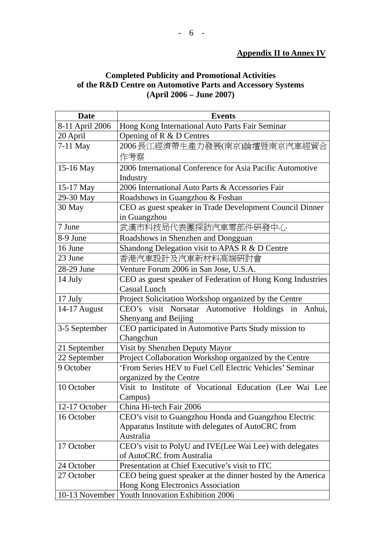## **Completed Publicity and Promotional Activities of the R&D Centre on Automotive Parts and Accessory Systems (April 2006 – June 2007)**

| <b>Date</b>     | <b>Events</b>                                               |
|-----------------|-------------------------------------------------------------|
| 8-11 April 2006 | Hong Kong International Auto Parts Fair Seminar             |
| 20 April        | Opening of R & D Centres                                    |
| $7-11$ May      | 2006長江經濟帶生產力發展(南京)論壇暨南京汽車經貿合                                |
|                 | 作考察                                                         |
| 15-16 May       | 2006 International Conference for Asia Pacific Automotive   |
|                 | Industry                                                    |
| 15-17 May       | 2006 International Auto Parts & Accessories Fair            |
| 29-30 May       | Roadshows in Guangzhou & Foshan                             |
| 30 May          | CEO as guest speaker in Trade Development Council Dinner    |
|                 | in Guangzhou                                                |
| 7 June          | 武漢市科技局代表團探訪汽車零部件研發中心                                        |
| 8-9 June        | Roadshows in Shenzhen and Dongguan                          |
| 16 June         | Shandong Delegation visit to APAS R & D Centre              |
| 23 June         | 香港汽車設計及汽車新材料高端研討會                                           |
| 28-29 June      | Venture Forum 2006 in San Jose, U.S.A.                      |
| 14 July         | CEO as guest speaker of Federation of Hong Kong Industries  |
|                 | <b>Casual Lunch</b>                                         |
| 17 July         | Project Solicitation Workshop organized by the Centre       |
| 14-17 August    | CEO's visit Norsatar Automotive Holdings in Anhui,          |
|                 | Shenyang and Beijing                                        |
| 3-5 September   | CEO participated in Automotive Parts Study mission to       |
|                 | Changchun                                                   |
| 21 September    | Visit by Shenzhen Deputy Mayor                              |
| 22 September    | Project Collaboration Workshop organized by the Centre      |
| 9 October       | 'From Series HEV to Fuel Cell Electric Vehicles' Seminar    |
|                 | organized by the Centre                                     |
| 10 October      | Visit to Institute of Vocational Education (Lee Wai Lee     |
|                 | Campus)                                                     |
| 12-17 October   | China Hi-tech Fair 2006                                     |
| 16 October      | CEO's visit to Guangzhou Honda and Guangzhou Electric       |
|                 | Apparatus Institute with delegates of AutoCRC from          |
|                 | Australia                                                   |
| 17 October      | CEO's visit to PolyU and IVE(Lee Wai Lee) with delegates    |
|                 | of AutoCRC from Australia                                   |
| 24 October      | Presentation at Chief Executive's visit to ITC              |
| 27 October      | CEO being guest speaker at the dinner hosted by the America |
|                 | Hong Kong Electronics Association                           |
| 10-13 November  | Youth Innovation Exhibition 2006                            |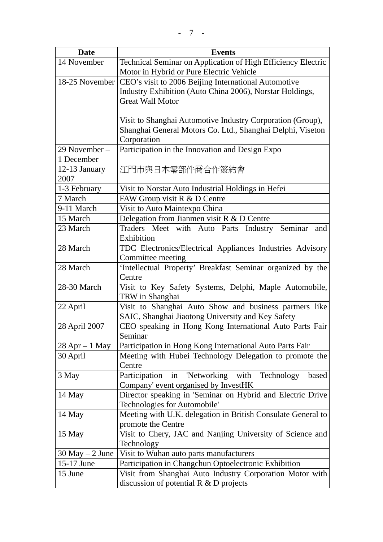| <b>Date</b>        | <b>Events</b>                                                                              |  |
|--------------------|--------------------------------------------------------------------------------------------|--|
| 14 November        | Technical Seminar on Application of High Efficiency Electric                               |  |
|                    | Motor in Hybrid or Pure Electric Vehicle                                                   |  |
| 18-25 November     | CEO's visit to 2006 Beijing International Automotive                                       |  |
|                    | Industry Exhibition (Auto China 2006), Norstar Holdings,                                   |  |
|                    | <b>Great Wall Motor</b>                                                                    |  |
|                    |                                                                                            |  |
|                    | Visit to Shanghai Automotive Industry Corporation (Group),                                 |  |
|                    | Shanghai General Motors Co. Ltd., Shanghai Delphi, Viseton                                 |  |
|                    | Corporation                                                                                |  |
| 29 November –      | Participation in the Innovation and Design Expo                                            |  |
| 1 December         |                                                                                            |  |
| 12-13 January      | 江門市與日本零部件商合作簽約會                                                                            |  |
| 2007               |                                                                                            |  |
| 1-3 February       | Visit to Norstar Auto Industrial Holdings in Hefei                                         |  |
| 7 March            | FAW Group visit R & D Centre                                                               |  |
| 9-11 March         | Visit to Auto Maintexpo China                                                              |  |
| 15 March           | Delegation from Jianmen visit $R & D$ Centre                                               |  |
| 23 March           | Traders Meet with Auto Parts Industry Seminar<br>and                                       |  |
|                    | Exhibition                                                                                 |  |
| 28 March           | TDC Electronics/Electrical Appliances Industries Advisory                                  |  |
|                    | Committee meeting                                                                          |  |
| 28 March           | 'Intellectual Property' Breakfast Seminar organized by the                                 |  |
|                    | Centre                                                                                     |  |
| 28-30 March        | Visit to Key Safety Systems, Delphi, Maple Automobile,                                     |  |
|                    | TRW in Shanghai                                                                            |  |
| 22 April           | Visit to Shanghai Auto Show and business partners like                                     |  |
|                    | SAIC, Shanghai Jiaotong University and Key Safety                                          |  |
| 28 April 2007      | CEO speaking in Hong Kong International Auto Parts Fair                                    |  |
|                    | Seminar                                                                                    |  |
| $28$ Apr $-1$ May  | Participation in Hong Kong International Auto Parts Fair                                   |  |
| 30 April           | Meeting with Hubei Technology Delegation to promote the<br>Centre                          |  |
|                    | Participation                                                                              |  |
| 3 May              | 'Networking<br>with Technology<br>in<br>based                                              |  |
| 14 May             | Company' event organised by InvestHK                                                       |  |
|                    | Director speaking in 'Seminar on Hybrid and Electric Drive<br>Technologies for Automobile' |  |
| 14 May             | Meeting with U.K. delegation in British Consulate General to                               |  |
|                    | promote the Centre                                                                         |  |
| 15 May             | Visit to Chery, JAC and Nanjing University of Science and                                  |  |
|                    | Technology                                                                                 |  |
| $30$ May $-2$ June | Visit to Wuhan auto parts manufacturers                                                    |  |
| 15-17 June         | Participation in Changchun Optoelectronic Exhibition                                       |  |
| 15 June            | Visit from Shanghai Auto Industry Corporation Motor with                                   |  |
|                    | discussion of potential $R & D$ projects                                                   |  |
|                    |                                                                                            |  |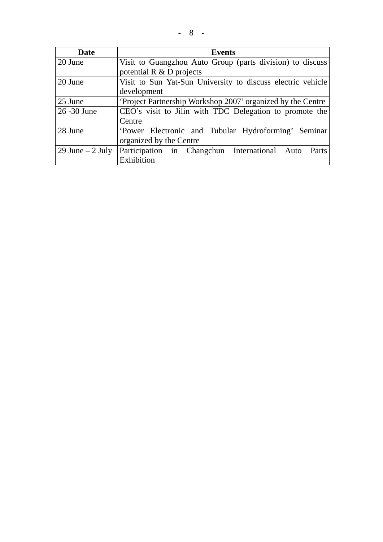| Date              | <b>Events</b>                                               |
|-------------------|-------------------------------------------------------------|
| 20 June           | Visit to Guangzhou Auto Group (parts division) to discuss   |
|                   | potential $R \& D$ projects                                 |
| 20 June           | Visit to Sun Yat-Sun University to discuss electric vehicle |
|                   | development                                                 |
| 25 June           | Project Partnership Workshop 2007' organized by the Centre  |
| 26 - 30 June      | CEO's visit to Jilin with TDC Delegation to promote the     |
|                   | Centre                                                      |
| 28 June           | 'Power Electronic and Tubular Hydroforming' Seminar         |
|                   | organized by the Centre                                     |
| 29 June $-2$ July | Participation in Changchun International Auto Parts         |
|                   | Exhibition                                                  |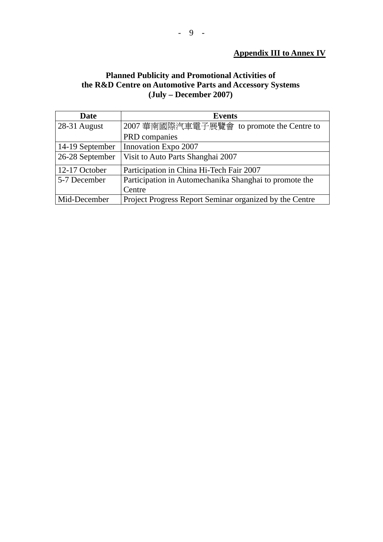### **Appendix III to Annex IV**

### **Planned Publicity and Promotional Activities of the R&D Centre on Automotive Parts and Accessory Systems (July – December 2007)**

| Date            | <b>Events</b>                                           |
|-----------------|---------------------------------------------------------|
| 28-31 August    | 2007 華南國際汽車電子展覽會 to promote the Centre to               |
|                 | PRD companies                                           |
| 14-19 September | Innovation Expo 2007                                    |
| 26-28 September | Visit to Auto Parts Shanghai 2007                       |
| 12-17 October   | Participation in China Hi-Tech Fair 2007                |
| 5-7 December    | Participation in Automechanika Shanghai to promote the  |
|                 | Centre                                                  |
| Mid-December    | Project Progress Report Seminar organized by the Centre |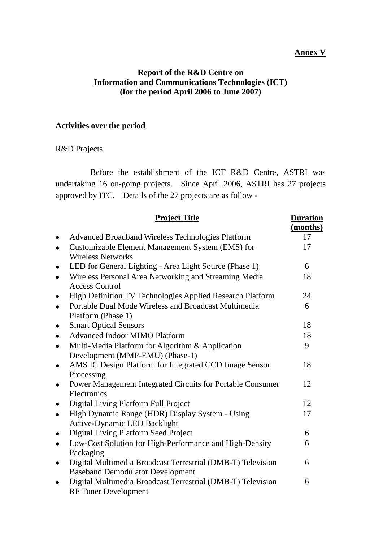#### **Annex V**

#### **Report of the R&D Centre on Information and Communications Technologies (ICT) (for the period April 2006 to June 2007)**

### **Activities over the period**

### R&D Projects

 Before the establishment of the ICT R&D Centre, ASTRI was undertaking 16 on-going projects. Since April 2006, ASTRI has 27 projects approved by ITC. Details of the 27 projects are as follow -

|           | <b>Project Title</b>                                                                                   | <b>Duration</b><br>(months) |
|-----------|--------------------------------------------------------------------------------------------------------|-----------------------------|
| $\bullet$ | <b>Advanced Broadband Wireless Technologies Platform</b>                                               | 17                          |
|           | Customizable Element Management System (EMS) for<br><b>Wireless Networks</b>                           | 17                          |
|           | LED for General Lighting - Area Light Source (Phase 1)                                                 | 6                           |
|           | Wireless Personal Area Networking and Streaming Media<br><b>Access Control</b>                         | 18                          |
|           | High Definition TV Technologies Applied Research Platform                                              | 24                          |
| $\bullet$ | Portable Dual Mode Wireless and Broadcast Multimedia<br>Platform (Phase 1)                             | 6                           |
|           | <b>Smart Optical Sensors</b>                                                                           | 18                          |
|           | <b>Advanced Indoor MIMO Platform</b>                                                                   | 18                          |
|           | Multi-Media Platform for Algorithm & Application<br>Development (MMP-EMU) (Phase-1)                    | 9                           |
|           | AMS IC Design Platform for Integrated CCD Image Sensor<br>Processing                                   | 18                          |
|           | Power Management Integrated Circuits for Portable Consumer<br>Electronics                              | 12                          |
| $\bullet$ | Digital Living Platform Full Project                                                                   | 12                          |
| $\bullet$ | High Dynamic Range (HDR) Display System - Using<br>Active-Dynamic LED Backlight                        | 17                          |
|           | Digital Living Platform Seed Project                                                                   | 6                           |
|           | Low-Cost Solution for High-Performance and High-Density<br>Packaging                                   | 6                           |
|           | Digital Multimedia Broadcast Terrestrial (DMB-T) Television<br><b>Baseband Demodulator Development</b> | 6                           |
|           | Digital Multimedia Broadcast Terrestrial (DMB-T) Television<br><b>RF Tuner Development</b>             | 6                           |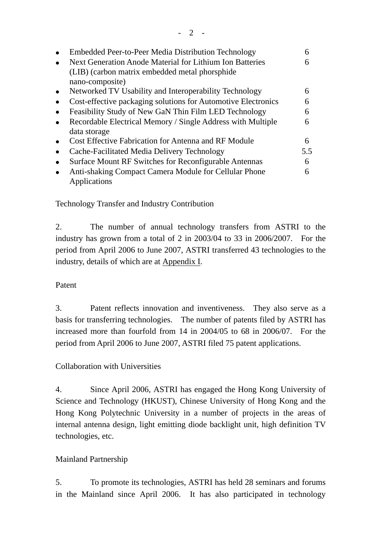| Embedded Peer-to-Peer Media Distribution Technology           |     |
|---------------------------------------------------------------|-----|
| Next Generation Anode Material for Lithium Ion Batteries      | h   |
| (LIB) (carbon matrix embedded metal phorsphide)               |     |
| nano-composite)                                               |     |
| Networked TV Usability and Interoperability Technology        | 6   |
| Cost-effective packaging solutions for Automotive Electronics | 6   |
| Feasibility Study of New GaN Thin Film LED Technology         | 6   |
| Recordable Electrical Memory / Single Address with Multiple   | 6   |
| data storage                                                  |     |
| <b>Cost Effective Fabrication for Antenna and RF Module</b>   | 6   |
| Cache-Facilitated Media Delivery Technology                   | 5.5 |
| Surface Mount RF Switches for Reconfigurable Antennas         | 6   |
| Anti-shaking Compact Camera Module for Cellular Phone         | 6   |
| Applications                                                  |     |

Technology Transfer and Industry Contribution

2. The number of annual technology transfers from ASTRI to the industry has grown from a total of 2 in 2003/04 to 33 in 2006/2007. For the period from April 2006 to June 2007, ASTRI transferred 43 technologies to the industry, details of which are at Appendix I.

## Patent

3. Patent reflects innovation and inventiveness. They also serve as a basis for transferring technologies. The number of patents filed by ASTRI has increased more than fourfold from 14 in 2004/05 to 68 in 2006/07. For the period from April 2006 to June 2007, ASTRI filed 75 patent applications.

Collaboration with Universities

4. Since April 2006, ASTRI has engaged the Hong Kong University of Science and Technology (HKUST), Chinese University of Hong Kong and the Hong Kong Polytechnic University in a number of projects in the areas of internal antenna design, light emitting diode backlight unit, high definition TV technologies, etc.

## Mainland Partnership

5. To promote its technologies, ASTRI has held 28 seminars and forums in the Mainland since April 2006. It has also participated in technology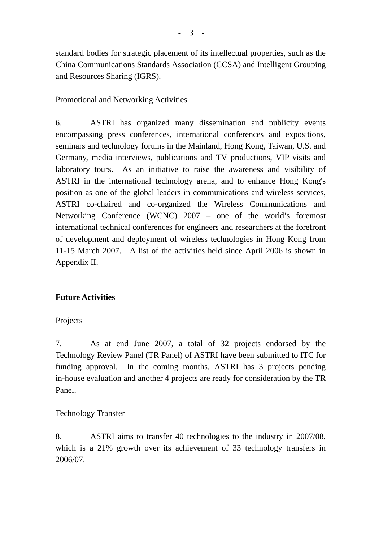standard bodies for strategic placement of its intellectual properties, such as the China Communications Standards Association (CCSA) and Intelligent Grouping and Resources Sharing (IGRS).

### Promotional and Networking Activities

6. ASTRI has organized many dissemination and publicity events encompassing press conferences, international conferences and expositions, seminars and technology forums in the Mainland, Hong Kong, Taiwan, U.S. and Germany, media interviews, publications and TV productions, VIP visits and laboratory tours. As an initiative to raise the awareness and visibility of ASTRI in the international technology arena, and to enhance Hong Kong's position as one of the global leaders in communications and wireless services, ASTRI co-chaired and co-organized the Wireless Communications and Networking Conference (WCNC) 2007 – one of the world's foremost international technical conferences for engineers and researchers at the forefront of development and deployment of wireless technologies in Hong Kong from 11-15 March 2007. A list of the activities held since April 2006 is shown in Appendix II.

## **Future Activities**

#### Projects

7. As at end June 2007, a total of 32 projects endorsed by the Technology Review Panel (TR Panel) of ASTRI have been submitted to ITC for funding approval. In the coming months, ASTRI has 3 projects pending in-house evaluation and another 4 projects are ready for consideration by the TR Panel.

## Technology Transfer

8. ASTRI aims to transfer 40 technologies to the industry in 2007/08, which is a 21% growth over its achievement of 33 technology transfers in 2006/07.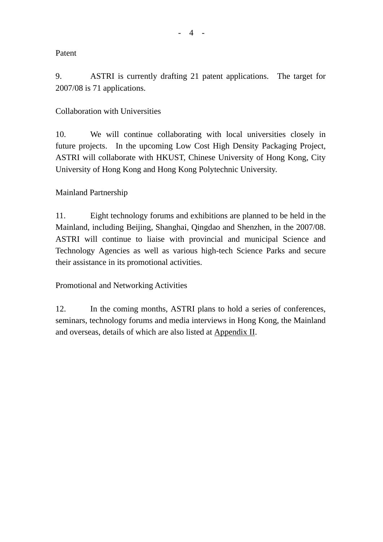### Patent

9. ASTRI is currently drafting 21 patent applications. The target for 2007/08 is 71 applications.

## Collaboration with Universities

10. We will continue collaborating with local universities closely in future projects. In the upcoming Low Cost High Density Packaging Project, ASTRI will collaborate with HKUST, Chinese University of Hong Kong, City University of Hong Kong and Hong Kong Polytechnic University.

### Mainland Partnership

11. Eight technology forums and exhibitions are planned to be held in the Mainland, including Beijing, Shanghai, Qingdao and Shenzhen, in the 2007/08. ASTRI will continue to liaise with provincial and municipal Science and Technology Agencies as well as various high-tech Science Parks and secure their assistance in its promotional activities.

Promotional and Networking Activities

12. In the coming months, ASTRI plans to hold a series of conferences, seminars, technology forums and media interviews in Hong Kong, the Mainland and overseas, details of which are also listed at Appendix II.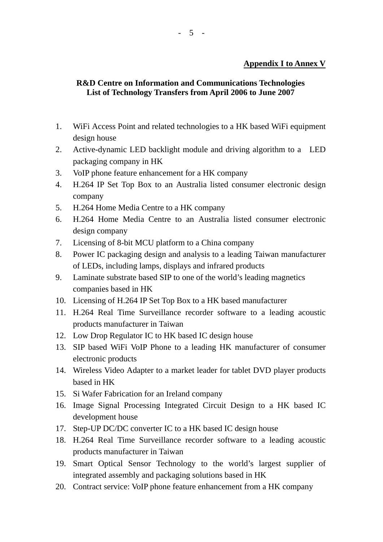## **R&D Centre on Information and Communications Technologies List of Technology Transfers from April 2006 to June 2007**

- 1. WiFi Access Point and related technologies to a HK based WiFi equipment design house
- 2. Active-dynamic LED backlight module and driving algorithm to a LED packaging company in HK
- 3. VoIP phone feature enhancement for a HK company
- 4. H.264 IP Set Top Box to an Australia listed consumer electronic design company
- 5. H.264 Home Media Centre to a HK company
- 6. H.264 Home Media Centre to an Australia listed consumer electronic design company
- 7. Licensing of 8-bit MCU platform to a China company
- 8. Power IC packaging design and analysis to a leading Taiwan manufacturer of LEDs, including lamps, displays and infrared products
- 9. Laminate substrate based SIP to one of the world's leading magnetics companies based in HK
- 10. Licensing of H.264 IP Set Top Box to a HK based manufacturer
- 11. H.264 Real Time Surveillance recorder software to a leading acoustic products manufacturer in Taiwan
- 12. Low Drop Regulator IC to HK based IC design house
- 13. SIP based WiFi VoIP Phone to a leading HK manufacturer of consumer electronic products
- 14. Wireless Video Adapter to a market leader for tablet DVD player products based in HK
- 15. Si Wafer Fabrication for an Ireland company
- 16. Image Signal Processing Integrated Circuit Design to a HK based IC development house
- 17. Step-UP DC/DC converter IC to a HK based IC design house
- 18. H.264 Real Time Surveillance recorder software to a leading acoustic products manufacturer in Taiwan
- 19. Smart Optical Sensor Technology to the world's largest supplier of integrated assembly and packaging solutions based in HK
- 20. Contract service: VoIP phone feature enhancement from a HK company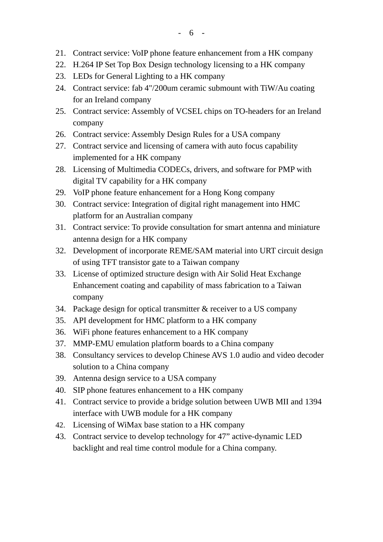- 21. Contract service: VoIP phone feature enhancement from a HK company
- 22. H.264 IP Set Top Box Design technology licensing to a HK company
- 23. LEDs for General Lighting to a HK company
- 24. Contract service: fab 4"/200um ceramic submount with TiW/Au coating for an Ireland company
- 25. Contract service: Assembly of VCSEL chips on TO-headers for an Ireland company
- 26. Contract service: Assembly Design Rules for a USA company
- 27. Contract service and licensing of camera with auto focus capability implemented for a HK company
- 28. Licensing of Multimedia CODECs, drivers, and software for PMP with digital TV capability for a HK company
- 29. VoIP phone feature enhancement for a Hong Kong company
- 30. Contract service: Integration of digital right management into HMC platform for an Australian company
- 31. Contract service: To provide consultation for smart antenna and miniature antenna design for a HK company
- 32. Development of incorporate REME/SAM material into URT circuit design of using TFT transistor gate to a Taiwan company
- 33. License of optimized structure design with Air Solid Heat Exchange Enhancement coating and capability of mass fabrication to a Taiwan company
- 34. Package design for optical transmitter & receiver to a US company
- 35. API development for HMC platform to a HK company
- 36. WiFi phone features enhancement to a HK company
- 37. MMP-EMU emulation platform boards to a China company
- 38. Consultancy services to develop Chinese AVS 1.0 audio and video decoder solution to a China company
- 39. Antenna design service to a USA company
- 40. SIP phone features enhancement to a HK company
- 41. Contract service to provide a bridge solution between UWB MII and 1394 interface with UWB module for a HK company
- 42. Licensing of WiMax base station to a HK company
- 43. Contract service to develop technology for 47" active-dynamic LED backlight and real time control module for a China company.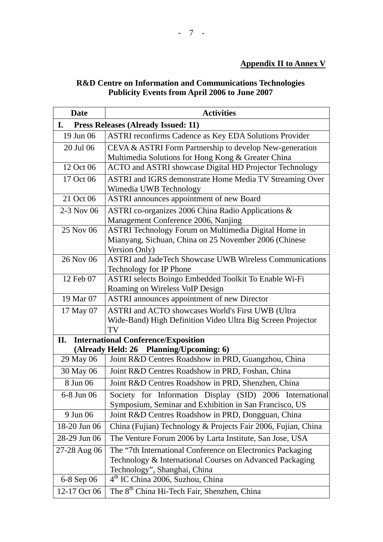# **R&D Centre on Information and Communications Technologies Publicity Events from April 2006 to June 2007**

| <b>Date</b>  | <b>Activities</b>                                                                                                                                      |
|--------------|--------------------------------------------------------------------------------------------------------------------------------------------------------|
| I.           | <b>Press Releases (Already Issued: 11)</b>                                                                                                             |
| 19 Jun 06    | <b>ASTRI</b> reconfirms Cadence as Key EDA Solutions Provider                                                                                          |
| 20 Jul 06    | CEVA & ASTRI Form Partnership to develop New-generation                                                                                                |
|              | Multimedia Solutions for Hong Kong & Greater China                                                                                                     |
| 12 Oct 06    | ACTO and ASTRI showcase Digital HD Projector Technology                                                                                                |
| 17 Oct 06    | ASTRI and IGRS demonstrate Home Media TV Streaming Over<br>Wimedia UWB Technology                                                                      |
| 21 Oct 06    | ASTRI announces appointment of new Board                                                                                                               |
| 2-3 Nov 06   | ASTRI co-organizes 2006 China Radio Applications &<br>Management Conference 2006, Nanjing                                                              |
| 25 Nov 06    | ASTRI Technology Forum on Multimedia Digital Home in<br>Mianyang, Sichuan, China on 25 November 2006 (Chinese<br>Version Only)                         |
| 26 Nov 06    | <b>ASTRI</b> and JadeTech Showcase UWB Wireless Communications<br>Technology for IP Phone                                                              |
| 12 Feb 07    | ASTRI selects Boingo Embedded Toolkit To Enable Wi-Fi<br>Roaming on Wireless VoIP Design                                                               |
| 19 Mar 07    | <b>ASTRI</b> announces appointment of new Director                                                                                                     |
| 17 May 07    | ASTRI and ACTO showcases World's First UWB (Ultra<br>Wide-Band) High Definition Video Ultra Big Screen Projector<br>TV                                 |
| II.          | <b>International Conference/Exposition</b>                                                                                                             |
|              | (Already Held: 26 Planning/Upcoming: 6)                                                                                                                |
| 29 May 06    | Joint R&D Centres Roadshow in PRD, Guangzhou, China                                                                                                    |
| 30 May 06    | Joint R&D Centres Roadshow in PRD, Foshan, China                                                                                                       |
| 8 Jun 06     | Joint R&D Centres Roadshow in PRD, Shenzhen, China                                                                                                     |
| 6-8 Jun 06   | Society for Information Display (SID) 2006 International<br>Symposium, Seminar and Exhibition in San Francisco, US                                     |
| 9 Jun 06     | Joint R&D Centres Roadshow in PRD, Dongguan, China                                                                                                     |
| 18-20 Jun 06 | China (Fujian) Technology & Projects Fair 2006, Fujian, China                                                                                          |
| 28-29 Jun 06 | The Venture Forum 2006 by Larta Institute, San Jose, USA                                                                                               |
| 27-28 Aug 06 | The "7th International Conference on Electronics Packaging<br>Technology & International Courses on Advanced Packaging<br>Technology", Shanghai, China |
| 6-8 Sep 06   | 4 <sup>th</sup> IC China 2006, Suzhou, China                                                                                                           |
| 12-17 Oct 06 | The 8 <sup>th</sup> China Hi-Tech Fair, Shenzhen, China                                                                                                |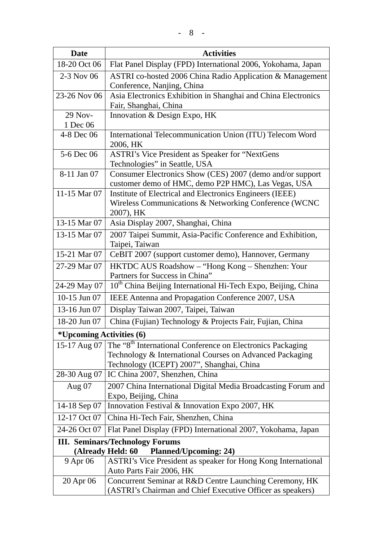| <b>Date</b>                      | <b>Activities</b>                                                                                                                                                               |  |
|----------------------------------|---------------------------------------------------------------------------------------------------------------------------------------------------------------------------------|--|
| 18-20 Oct 06                     | Flat Panel Display (FPD) International 2006, Yokohama, Japan                                                                                                                    |  |
| 2-3 Nov 06                       | ASTRI co-hosted 2006 China Radio Application & Management<br>Conference, Nanjing, China                                                                                         |  |
| 23-26 Nov 06                     | Asia Electronics Exhibition in Shanghai and China Electronics<br>Fair, Shanghai, China                                                                                          |  |
| 29 Nov-                          | Innovation & Design Expo, HK                                                                                                                                                    |  |
| 1 Dec 06                         |                                                                                                                                                                                 |  |
| 4-8 Dec 06                       | International Telecommunication Union (ITU) Telecom Word<br>2006, HK                                                                                                            |  |
| 5-6 Dec 06                       | <b>ASTRI's Vice President as Speaker for "NextGens</b><br>Technologies" in Seattle, USA                                                                                         |  |
| 8-11 Jan 07                      | Consumer Electronics Show (CES) 2007 (demo and/or support<br>customer demo of HMC, demo P2P HMC), Las Vegas, USA                                                                |  |
| 11-15 Mar 07                     | Institute of Electrical and Electronics Engineers (IEEE)                                                                                                                        |  |
|                                  | Wireless Communications & Networking Conference (WCNC<br>2007), HK                                                                                                              |  |
| 13-15 Mar 07                     | Asia Display 2007, Shanghai, China                                                                                                                                              |  |
| 13-15 Mar 07                     | 2007 Taipei Summit, Asia-Pacific Conference and Exhibition,<br>Taipei, Taiwan                                                                                                   |  |
| 15-21 Mar 07                     | CeBIT 2007 (support customer demo), Hannover, Germany                                                                                                                           |  |
| 27-29 Mar 07                     | HKTDC AUS Roadshow - "Hong Kong - Shenzhen: Your<br>Partners for Success in China"                                                                                              |  |
| 24-29 May 07                     | 10 <sup>th</sup> China Beijing International Hi-Tech Expo, Beijing, China                                                                                                       |  |
| 10-15 Jun 07                     | IEEE Antenna and Propagation Conference 2007, USA                                                                                                                               |  |
| 13-16 Jun 07                     | Display Taiwan 2007, Taipei, Taiwan                                                                                                                                             |  |
| 18-20 Jun 07                     | China (Fujian) Technology & Projects Fair, Fujian, China                                                                                                                        |  |
| <i>*</i> Upcoming Activities (6) |                                                                                                                                                                                 |  |
| 15-17 Aug 07                     | The "8 <sup>th</sup> International Conference on Electronics Packaging<br>Technology & International Courses on Advanced Packaging<br>Technology (ICEPT) 2007", Shanghai, China |  |
| 28-30 Aug 07                     | IC China 2007, Shenzhen, China                                                                                                                                                  |  |
| Aug $07$                         | 2007 China International Digital Media Broadcasting Forum and<br>Expo, Beijing, China                                                                                           |  |
| 14-18 Sep 07                     | Innovation Festival & Innovation Expo 2007, HK                                                                                                                                  |  |
| 12-17 Oct 07                     | China Hi-Tech Fair, Shenzhen, China                                                                                                                                             |  |
| 24-26 Oct 07                     | Flat Panel Display (FPD) International 2007, Yokohama, Japan                                                                                                                    |  |
|                                  | <b>III. Seminars/Technology Forums</b>                                                                                                                                          |  |
|                                  | <b>Planned/Upcoming: 24)</b><br>(Already Held: 60                                                                                                                               |  |
| 9 Apr 06                         | ASTRI's Vice President as speaker for Hong Kong International<br>Auto Parts Fair 2006, HK                                                                                       |  |
| 20 Apr 06                        | Concurrent Seminar at R&D Centre Launching Ceremony, HK<br>(ASTRI's Chairman and Chief Executive Officer as speakers)                                                           |  |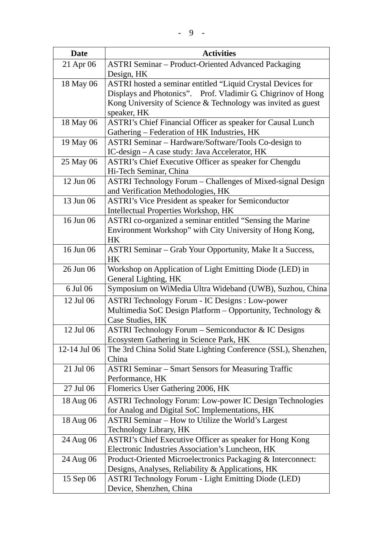| <b>Date</b>  | <b>Activities</b>                                                                                               |
|--------------|-----------------------------------------------------------------------------------------------------------------|
| 21 Apr 06    | <b>ASTRI Seminar - Product-Oriented Advanced Packaging</b>                                                      |
|              | Design, HK                                                                                                      |
| 18 May 06    | ASTRI hosted a seminar entitled "Liquid Crystal Devices for                                                     |
|              | Displays and Photonics". Prof. Vladimir G. Chigrinov of Hong                                                    |
|              | Kong University of Science & Technology was invited as guest                                                    |
|              | speaker, HK                                                                                                     |
| 18 May 06    | ASTRI's Chief Financial Officer as speaker for Causal Lunch                                                     |
|              | Gathering - Federation of HK Industries, HK                                                                     |
| 19 May 06    | ASTRI Seminar - Hardware/Software/Tools Co-design to                                                            |
|              | IC-design - A case study: Java Accelerator, HK                                                                  |
| 25 May 06    | ASTRI's Chief Executive Officer as speaker for Chengdu                                                          |
|              | Hi-Tech Seminar, China                                                                                          |
| 12 Jun 06    | ASTRI Technology Forum – Challenges of Mixed-signal Design                                                      |
| 13 Jun 06    | and Verification Methodologies, HK<br><b>ASTRI's Vice President as speaker for Semiconductor</b>                |
|              | Intellectual Properties Workshop, HK                                                                            |
| 16 Jun 06    | ASTRI co-organized a seminar entitled "Sensing the Marine                                                       |
|              | Environment Workshop" with City University of Hong Kong,                                                        |
|              | HK                                                                                                              |
| 16 Jun 06    | ASTRI Seminar - Grab Your Opportunity, Make It a Success,                                                       |
|              | HK                                                                                                              |
| 26 Jun 06    | Workshop on Application of Light Emitting Diode (LED) in                                                        |
|              | General Lighting, HK                                                                                            |
| 6 Jul 06     | Symposium on WiMedia Ultra Wideband (UWB), Suzhou, China                                                        |
| 12 Jul 06    | <b>ASTRI Technology Forum - IC Designs : Low-power</b>                                                          |
|              | Multimedia SoC Design Platform - Opportunity, Technology &                                                      |
|              | Case Studies, HK                                                                                                |
| 12 Jul 06    | ASTRI Technology Forum – Semiconductor & IC Designs                                                             |
|              | Ecosystem Gathering in Science Park, HK                                                                         |
| 12-14 Jul 06 | The 3rd China Solid State Lighting Conference (SSL), Shenzhen,                                                  |
|              | China                                                                                                           |
| 21 Jul 06    | <b>ASTRI Seminar – Smart Sensors for Measuring Traffic</b>                                                      |
|              | Performance, HK                                                                                                 |
| 27 Jul 06    | Flomerics User Gathering 2006, HK                                                                               |
| 18 Aug 06    | ASTRI Technology Forum: Low-power IC Design Technologies                                                        |
|              | for Analog and Digital SoC Implementations, HK                                                                  |
| 18 Aug 06    | ASTRI Seminar - How to Utilize the World's Largest                                                              |
|              | Technology Library, HK                                                                                          |
| 24 Aug 06    | ASTRI's Chief Executive Officer as speaker for Hong Kong                                                        |
| 24 Aug 06    | Electronic Industries Association's Luncheon, HK<br>Product-Oriented Microelectronics Packaging & Interconnect: |
|              | Designs, Analyses, Reliability & Applications, HK                                                               |
| 15 Sep 06    | <b>ASTRI Technology Forum - Light Emitting Diode (LED)</b>                                                      |
|              | Device, Shenzhen, China                                                                                         |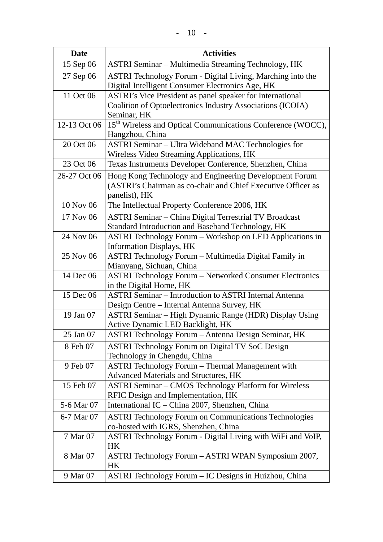| <b>Date</b>  | <b>Activities</b>                                                                                                                       |
|--------------|-----------------------------------------------------------------------------------------------------------------------------------------|
| 15 Sep 06    | ASTRI Seminar - Multimedia Streaming Technology, HK                                                                                     |
| 27 Sep 06    | ASTRI Technology Forum - Digital Living, Marching into the<br>Digital Intelligent Consumer Electronics Age, HK                          |
| 11 Oct 06    | ASTRI's Vice President as panel speaker for International<br>Coalition of Optoelectronics Industry Associations (ICOIA)<br>Seminar, HK  |
| 12-13 Oct 06 | 15 <sup>th</sup> Wireless and Optical Communications Conference (WOCC),<br>Hangzhou, China                                              |
| 20 Oct 06    | <b>ASTRI Seminar – Ultra Wideband MAC Technologies for</b><br>Wireless Video Streaming Applications, HK                                 |
| 23 Oct 06    | Texas Instruments Developer Conference, Shenzhen, China                                                                                 |
| 26-27 Oct 06 | Hong Kong Technology and Engineering Development Forum<br>(ASTRI's Chairman as co-chair and Chief Executive Officer as<br>panelist), HK |
| 10 Nov 06    | The Intellectual Property Conference 2006, HK                                                                                           |
| 17 Nov 06    | <b>ASTRI Seminar - China Digital Terrestrial TV Broadcast</b><br>Standard Introduction and Baseband Technology, HK                      |
| 24 Nov 06    | <b>ASTRI Technology Forum - Workshop on LED Applications in</b><br><b>Information Displays, HK</b>                                      |
| 25 Nov 06    | ASTRI Technology Forum - Multimedia Digital Family in<br>Mianyang, Sichuan, China                                                       |
| 14 Dec 06    | <b>ASTRI Technology Forum - Networked Consumer Electronics</b><br>in the Digital Home, HK                                               |
| 15 Dec 06    | <b>ASTRI Seminar – Introduction to ASTRI Internal Antenna</b><br>Design Centre - Internal Antenna Survey, HK                            |
| 19 Jan 07    | ASTRI Seminar - High Dynamic Range (HDR) Display Using<br>Active Dynamic LED Backlight, HK                                              |
| 25 Jan 07    | ASTRI Technology Forum - Antenna Design Seminar, HK                                                                                     |
| 8 Feb 07     | ASTRI Technology Forum on Digital TV SoC Design<br>Technology in Chengdu, China                                                         |
| 9 Feb 07     | <b>ASTRI Technology Forum - Thermal Management with</b><br>Advanced Materials and Structures, HK                                        |
| 15 Feb 07    | <b>ASTRI Seminar – CMOS Technology Platform for Wireless</b><br>RFIC Design and Implementation, HK                                      |
| 5-6 Mar 07   | International IC – China 2007, Shenzhen, China                                                                                          |
| 6-7 Mar 07   | <b>ASTRI Technology Forum on Communications Technologies</b><br>co-hosted with IGRS, Shenzhen, China                                    |
| 7 Mar 07     | ASTRI Technology Forum - Digital Living with WiFi and VoIP,<br>HК                                                                       |
| 8 Mar 07     | ASTRI Technology Forum - ASTRI WPAN Symposium 2007,<br>HК                                                                               |
| 9 Mar 07     | ASTRI Technology Forum - IC Designs in Huizhou, China                                                                                   |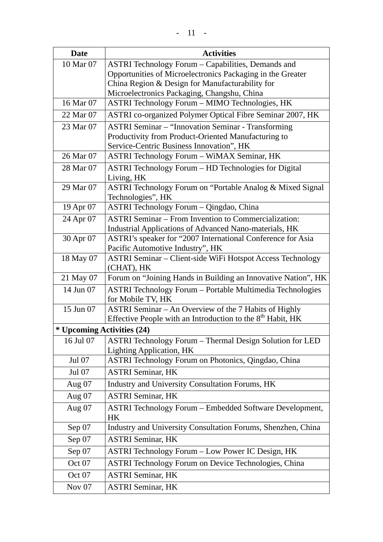| <b>Date</b>                | <b>Activities</b>                                                                           |
|----------------------------|---------------------------------------------------------------------------------------------|
| 10 Mar 07                  | ASTRI Technology Forum - Capabilities, Demands and                                          |
|                            | Opportunities of Microelectronics Packaging in the Greater                                  |
|                            | China Region & Design for Manufacturability for                                             |
|                            | Microelectronics Packaging, Changshu, China                                                 |
| 16 Mar 07                  | ASTRI Technology Forum - MIMO Technologies, HK                                              |
| 22 Mar 07                  | ASTRI co-organized Polymer Optical Fibre Seminar 2007, HK                                   |
| 23 Mar 07                  | <b>ASTRI Seminar - "Innovation Seminar - Transforming</b>                                   |
|                            | Productivity from Product-Oriented Manufacturing to                                         |
|                            | Service-Centric Business Innovation", HK                                                    |
| 26 Mar 07                  | ASTRI Technology Forum - WiMAX Seminar, HK                                                  |
| 28 Mar 07                  | ASTRI Technology Forum - HD Technologies for Digital                                        |
|                            | Living, HK                                                                                  |
| 29 Mar 07                  | ASTRI Technology Forum on "Portable Analog & Mixed Signal<br>Technologies", HK              |
| 19 Apr 07                  | ASTRI Technology Forum - Qingdao, China                                                     |
| 24 Apr 07                  | <b>ASTRI Seminar – From Invention to Commercialization:</b>                                 |
|                            | Industrial Applications of Advanced Nano-materials, HK                                      |
| 30 Apr 07                  | ASTRI's speaker for "2007 International Conference for Asia                                 |
|                            | Pacific Automotive Industry", HK                                                            |
| 18 May 07                  | ASTRI Seminar – Client-side WiFi Hotspot Access Technology                                  |
|                            | (CHAT), HK                                                                                  |
| 21 May 07                  | Forum on "Joining Hands in Building an Innovative Nation", HK                               |
| 14 Jun 07                  | <b>ASTRI Technology Forum - Portable Multimedia Technologies</b>                            |
|                            | for Mobile TV, HK                                                                           |
| 15 Jun 07                  | ASTRI Seminar - An Overview of the 7 Habits of Highly                                       |
|                            | Effective People with an Introduction to the 8 <sup>th</sup> Habit, HK                      |
| * Upcoming Activities (24) |                                                                                             |
| 16 Jul 07                  | ASTRI Technology Forum - Thermal Design Solution for LED<br><b>Lighting Application, HK</b> |
| Jul 07                     | ASTRI Technology Forum on Photonics, Qingdao, China                                         |
| Jul 07                     | <b>ASTRI Seminar, HK</b>                                                                    |
| Aug $07$                   | Industry and University Consultation Forums, HK                                             |
| Aug $07$                   | <b>ASTRI Seminar, HK</b>                                                                    |
|                            |                                                                                             |
| Aug $07$                   | <b>ASTRI Technology Forum - Embedded Software Development,</b><br>HK                        |
| Sep 07                     | Industry and University Consultation Forums, Shenzhen, China                                |
| Sep 07                     | <b>ASTRI Seminar, HK</b>                                                                    |
| Sep 07                     | ASTRI Technology Forum - Low Power IC Design, HK                                            |
| Oct 07                     | ASTRI Technology Forum on Device Technologies, China                                        |
| Oct 07                     | <b>ASTRI Seminar, HK</b>                                                                    |
| Nov $07$                   | <b>ASTRI Seminar, HK</b>                                                                    |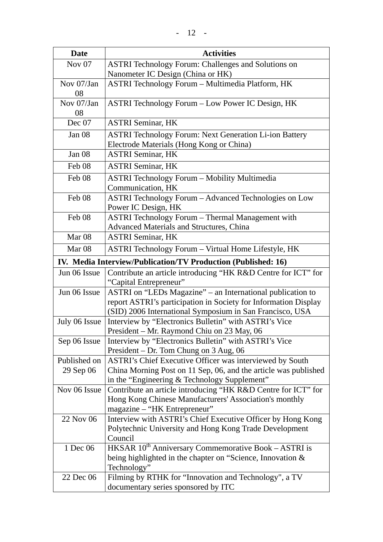| <b>Date</b>       | <b>Activities</b>                                                                                             |
|-------------------|---------------------------------------------------------------------------------------------------------------|
| Nov $07$          | ASTRI Technology Forum: Challenges and Solutions on                                                           |
|                   | Nanometer IC Design (China or HK)                                                                             |
| Nov 07/Jan        | <b>ASTRI Technology Forum - Multimedia Platform, HK</b>                                                       |
| 08                |                                                                                                               |
| Nov 07/Jan        | ASTRI Technology Forum – Low Power IC Design, HK                                                              |
| 08                |                                                                                                               |
| Dec 07            | <b>ASTRI Seminar, HK</b>                                                                                      |
| Jan 08            | <b>ASTRI Technology Forum: Next Generation Li-ion Battery</b>                                                 |
|                   | Electrode Materials (Hong Kong or China)                                                                      |
| Jan $08$          | <b>ASTRI Seminar, HK</b>                                                                                      |
| Feb 08            | <b>ASTRI Seminar, HK</b>                                                                                      |
| Feb 08            | <b>ASTRI Technology Forum - Mobility Multimedia</b>                                                           |
|                   | Communication, HK                                                                                             |
| Feb 08            | ASTRI Technology Forum - Advanced Technologies on Low                                                         |
|                   | Power IC Design, HK                                                                                           |
| Feb <sub>08</sub> | <b>ASTRI</b> Technology Forum - Thermal Management with                                                       |
|                   | Advanced Materials and Structures, China                                                                      |
| Mar <sub>08</sub> | <b>ASTRI Seminar, HK</b>                                                                                      |
| Mar <sub>08</sub> | ASTRI Technology Forum - Virtual Home Lifestyle, HK                                                           |
|                   | IV. Media Interview/Publication/TV Production (Published: 16)                                                 |
| Jun 06 Issue      | Contribute an article introducing "HK R&D Centre for ICT" for<br>"Capital Entrepreneur"                       |
| Jun 06 Issue      | ASTRI on "LEDs Magazine" - an International publication to                                                    |
|                   | report ASTRI's participation in Society for Information Display                                               |
|                   | (SID) 2006 International Symposium in San Francisco, USA                                                      |
| July 06 Issue     | Interview by "Electronics Bulletin" with ASTRI's Vice                                                         |
|                   | President – Mr. Raymond Chiu on 23 May, 06                                                                    |
| Sep 06 Issue      | Interview by "Electronics Bulletin" with ASTRI's Vice                                                         |
|                   | President - Dr. Tom Chung on 3 Aug, 06                                                                        |
| Published on      | ASTRI's Chief Executive Officer was interviewed by South                                                      |
| 29 Sep 06         | China Morning Post on 11 Sep, 06, and the article was published                                               |
| Nov 06 Issue      | in the "Engineering & Technology Supplement"<br>Contribute an article introducing "HK R&D Centre for ICT" for |
|                   | Hong Kong Chinese Manufacturers' Association's monthly                                                        |
|                   | magazine – "HK Entrepreneur"                                                                                  |
| 22 Nov 06         | Interview with ASTRI's Chief Executive Officer by Hong Kong                                                   |
|                   | Polytechnic University and Hong Kong Trade Development                                                        |
|                   | Council                                                                                                       |
| 1 Dec 06          | HKSAR 10 <sup>th</sup> Anniversary Commemorative Book - ASTRI is                                              |
|                   | being highlighted in the chapter on "Science, Innovation &                                                    |
|                   | Technology"                                                                                                   |
| 22 Dec 06         | Filming by RTHK for "Innovation and Technology", a TV                                                         |
|                   | documentary series sponsored by ITC                                                                           |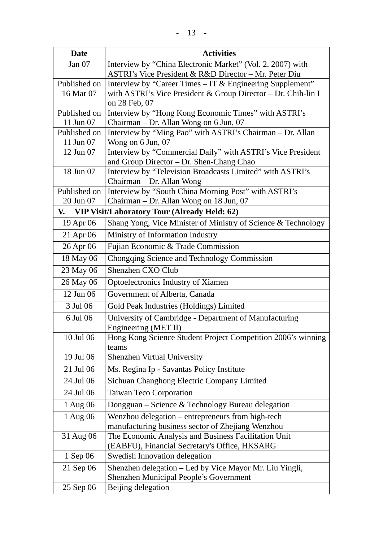| <b>Date</b>                                               | <b>Activities</b>                                                                                        |
|-----------------------------------------------------------|----------------------------------------------------------------------------------------------------------|
| Jan $07$                                                  | Interview by "China Electronic Market" (Vol. 2. 2007) with                                               |
|                                                           | ASTRI's Vice President & R&D Director - Mr. Peter Diu                                                    |
| Published on                                              | Interview by "Career Times – IT & Engineering Supplement"                                                |
| 16 Mar 07                                                 | with ASTRI's Vice President & Group Director - Dr. Chih-lin I<br>on 28 Feb, 07                           |
| Published on                                              | Interview by "Hong Kong Economic Times" with ASTRI's                                                     |
| 11 Jun 07                                                 | Chairman - Dr. Allan Wong on 6 Jun, 07                                                                   |
| Published on                                              | Interview by "Ming Pao" with ASTRI's Chairman - Dr. Allan                                                |
| 11 Jun 07                                                 | Wong on 6 Jun, 07                                                                                        |
| 12 Jun 07                                                 | Interview by "Commercial Daily" with ASTRI's Vice President<br>and Group Director - Dr. Shen-Chang Chao  |
| 18 Jun 07                                                 | Interview by "Television Broadcasts Limited" with ASTRI's                                                |
|                                                           | Chairman - Dr. Allan Wong                                                                                |
| Published on                                              | Interview by "South China Morning Post" with ASTRI's                                                     |
| 20 Jun 07                                                 | Chairman – Dr. Allan Wong on 18 Jun, 07                                                                  |
| V.<br><b>VIP Visit/Laboratory Tour (Already Held: 62)</b> |                                                                                                          |
| 19 Apr 06                                                 | Shang Yong, Vice Minister of Ministry of Science & Technology                                            |
| 21 Apr 06                                                 | Ministry of Information Industry                                                                         |
| 26 Apr 06                                                 | Fujian Economic & Trade Commission                                                                       |
| 18 May 06                                                 | Chongqing Science and Technology Commission                                                              |
| 23 May 06                                                 | Shenzhen CXO Club                                                                                        |
| 26 May 06                                                 | Optoelectronics Industry of Xiamen                                                                       |
| 12 Jun 06                                                 | Government of Alberta, Canada                                                                            |
| 3 Jul 06                                                  | Gold Peak Industries (Holdings) Limited                                                                  |
| 6 Jul 06                                                  | University of Cambridge - Department of Manufacturing<br>Engineering (MET II)                            |
| 10 Jul 06                                                 | Hong Kong Science Student Project Competition 2006's winning<br>teams                                    |
| 19 Jul 06                                                 | <b>Shenzhen Virtual University</b>                                                                       |
| 21 Jul 06                                                 | Ms. Regina Ip - Savantas Policy Institute                                                                |
| 24 Jul 06                                                 | Sichuan Changhong Electric Company Limited                                                               |
| 24 Jul 06                                                 | <b>Taiwan Teco Corporation</b>                                                                           |
| 1 Aug 06                                                  | Dongguan – Science & Technology Bureau delegation                                                        |
| 1 Aug 06                                                  | Wenzhou delegation – entrepreneurs from high-tech                                                        |
|                                                           | manufacturing business sector of Zhejiang Wenzhou                                                        |
| 31 Aug 06                                                 | The Economic Analysis and Business Facilitation Unit                                                     |
| 1 Sep 06                                                  | (EABFU), Financial Secretary's Office, HKSARG<br><b>Swedish Innovation delegation</b>                    |
|                                                           |                                                                                                          |
| 21 Sep 06                                                 | Shenzhen delegation - Led by Vice Mayor Mr. Liu Yingli,<br><b>Shenzhen Municipal People's Government</b> |
| 25 Sep 06                                                 | Beijing delegation                                                                                       |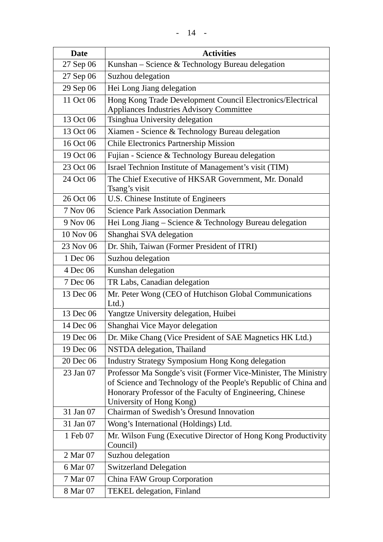| <b>Date</b> | <b>Activities</b>                                                                                                                                                                                                           |
|-------------|-----------------------------------------------------------------------------------------------------------------------------------------------------------------------------------------------------------------------------|
| 27 Sep 06   | Kunshan - Science & Technology Bureau delegation                                                                                                                                                                            |
| 27 Sep 06   | Suzhou delegation                                                                                                                                                                                                           |
| 29 Sep 06   | Hei Long Jiang delegation                                                                                                                                                                                                   |
| 11 Oct 06   | Hong Kong Trade Development Council Electronics/Electrical                                                                                                                                                                  |
|             | <b>Appliances Industries Advisory Committee</b>                                                                                                                                                                             |
| 13 Oct 06   | Tsinghua University delegation                                                                                                                                                                                              |
| 13 Oct 06   | Xiamen - Science & Technology Bureau delegation                                                                                                                                                                             |
| 16 Oct 06   | <b>Chile Electronics Partnership Mission</b>                                                                                                                                                                                |
| 19 Oct 06   | Fujian - Science & Technology Bureau delegation                                                                                                                                                                             |
| 23 Oct 06   | Israel Technion Institute of Management's visit (TIM)                                                                                                                                                                       |
| 24 Oct 06   | The Chief Executive of HKSAR Government, Mr. Donald<br>Tsang's visit                                                                                                                                                        |
| 26 Oct 06   | U.S. Chinese Institute of Engineers                                                                                                                                                                                         |
| 7 Nov 06    | <b>Science Park Association Denmark</b>                                                                                                                                                                                     |
| 9 Nov 06    | Hei Long Jiang - Science & Technology Bureau delegation                                                                                                                                                                     |
| 10 Nov 06   | Shanghai SVA delegation                                                                                                                                                                                                     |
| 23 Nov 06   | Dr. Shih, Taiwan (Former President of ITRI)                                                                                                                                                                                 |
| 1 Dec 06    | Suzhou delegation                                                                                                                                                                                                           |
| 4 Dec 06    | Kunshan delegation                                                                                                                                                                                                          |
| 7 Dec 06    | TR Labs, Canadian delegation                                                                                                                                                                                                |
| 13 Dec 06   | Mr. Peter Wong (CEO of Hutchison Global Communications<br>Ltd.                                                                                                                                                              |
| 13 Dec 06   | Yangtze University delegation, Huibei                                                                                                                                                                                       |
| 14 Dec 06   | Shanghai Vice Mayor delegation                                                                                                                                                                                              |
| 19 Dec 06   | Dr. Mike Chang (Vice President of SAE Magnetics HK Ltd.)                                                                                                                                                                    |
| 19 Dec 06   | NSTDA delegation, Thailand                                                                                                                                                                                                  |
| 20 Dec 06   | <b>Industry Strategy Symposium Hong Kong delegation</b>                                                                                                                                                                     |
| 23 Jan 07   | Professor Ma Songde's visit (Former Vice-Minister, The Ministry<br>of Science and Technology of the People's Republic of China and<br>Honorary Professor of the Faculty of Engineering, Chinese<br>University of Hong Kong) |
| 31 Jan 07   | Chairman of Swedish's Öresund Innovation                                                                                                                                                                                    |
| 31 Jan 07   | Wong's International (Holdings) Ltd.                                                                                                                                                                                        |
| 1 Feb 07    | Mr. Wilson Fung (Executive Director of Hong Kong Productivity<br>Council)                                                                                                                                                   |
| 2 Mar 07    | Suzhou delegation                                                                                                                                                                                                           |
| 6 Mar 07    | <b>Switzerland Delegation</b>                                                                                                                                                                                               |
| 7 Mar 07    | China FAW Group Corporation                                                                                                                                                                                                 |
| 8 Mar 07    | <b>TEKEL</b> delegation, Finland                                                                                                                                                                                            |